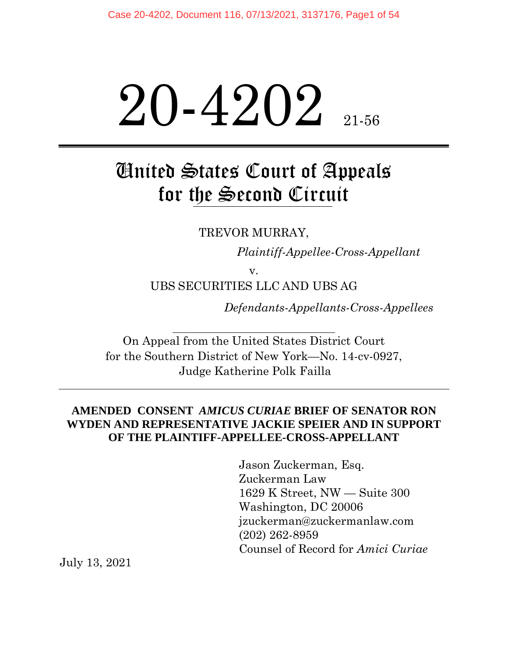# 20-4202 21-56

## United States Court of Appeals for the Second Circuit

TREVOR MURRAY,

*Plaintiff-Appellee-Cross-Appellant*

v. UBS SECURITIES LLC AND UBS AG

*Defendants-Appellants-Cross-Appellees*

On Appeal from the United States District Court for the Southern District of New York—No. 14-cv-0927, Judge Katherine Polk Failla

#### **AMENDED CONSENT** *AMICUS CURIAE* **BRIEF OF SENATOR RON WYDEN AND REPRESENTATIVE JACKIE SPEIER AND IN SUPPORT OF THE PLAINTIFF-APPELLEE-CROSS-APPELLANT**

Jason Zuckerman, Esq. Zuckerman Law 1629 K Street, NW — Suite 300 Washington, DC 20006 jzuckerman@zuckermanlaw.com (202) 262-8959 Counsel of Record for *Amici Curiae*

July 13, 2021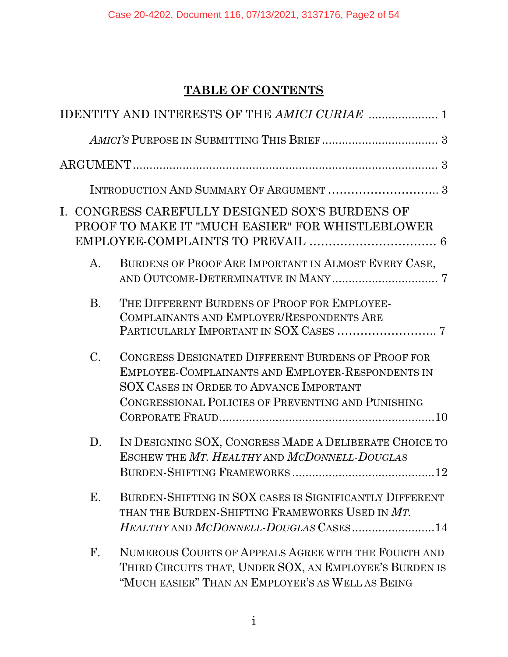## **TABLE OF CONTENTS**

|                | IDENTITY AND INTERESTS OF THE AMICI CURIAE  1                                                                                                                                                            |  |  |
|----------------|----------------------------------------------------------------------------------------------------------------------------------------------------------------------------------------------------------|--|--|
|                |                                                                                                                                                                                                          |  |  |
|                |                                                                                                                                                                                                          |  |  |
|                |                                                                                                                                                                                                          |  |  |
|                | I. CONGRESS CAREFULLY DESIGNED SOX'S BURDENS OF<br>PROOF TO MAKE IT "MUCH EASIER" FOR WHISTLEBLOWER                                                                                                      |  |  |
| A.             | BURDENS OF PROOF ARE IMPORTANT IN ALMOST EVERY CASE,                                                                                                                                                     |  |  |
| <b>B.</b>      | THE DIFFERENT BURDENS OF PROOF FOR EMPLOYEE-<br>COMPLAINANTS AND EMPLOYER/RESPONDENTS ARE<br>PARTICULARLY IMPORTANT IN SOX CASES  7                                                                      |  |  |
| C.             | CONGRESS DESIGNATED DIFFERENT BURDENS OF PROOF FOR<br>EMPLOYEE-COMPLAINANTS AND EMPLOYER-RESPONDENTS IN<br>SOX CASES IN ORDER TO ADVANCE IMPORTANT<br>CONGRESSIONAL POLICIES OF PREVENTING AND PUNISHING |  |  |
| D.             | IN DESIGNING SOX, CONGRESS MADE A DELIBERATE CHOICE TO<br><b>ESCHEW THE MT. HEALTHY AND MCDONNELL-DOUGLAS</b>                                                                                            |  |  |
| $E_{\cdot}$    | BURDEN-SHIFTING IN SOX CASES IS SIGNIFICANTLY DIFFERENT<br>THAN THE BURDEN-SHIFTING FRAMEWORKS USED IN MT.<br>HEALTHY AND MCDONNELL-DOUGLAS CASES14                                                      |  |  |
| $\mathbf{F}$ . | NUMEROUS COURTS OF APPEALS AGREE WITH THE FOURTH AND<br>THIRD CIRCUITS THAT, UNDER SOX, AN EMPLOYEE'S BURDEN IS<br>"MUCH EASIER" THAN AN EMPLOYER'S AS WELL AS BEING                                     |  |  |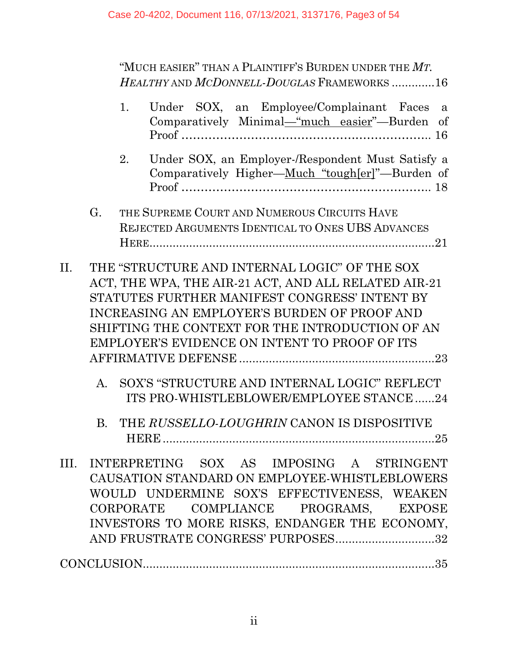|     |             |    | "MUCH EASIER" THAN A PLAINTIFF'S BURDEN UNDER THE $Mr$ .<br>HEALTHY AND MCDONNELL-DOUGLAS FRAMEWORKS16                                                                                                                                                                                                            |
|-----|-------------|----|-------------------------------------------------------------------------------------------------------------------------------------------------------------------------------------------------------------------------------------------------------------------------------------------------------------------|
|     |             | 1. | SOX, an Employee/Complainant Faces<br>Under<br>a<br>Comparatively Minimal—"much easier"—Burden of                                                                                                                                                                                                                 |
|     |             | 2. | Under SOX, an Employer-/Respondent Must Satisfy a<br>Comparatively Higher-Much "tough[er]"-Burden of                                                                                                                                                                                                              |
|     | G.          |    | THE SUPREME COURT AND NUMEROUS CIRCUITS HAVE<br>REJECTED ARGUMENTS IDENTICAL TO ONES UBS ADVANCES                                                                                                                                                                                                                 |
| II. |             |    | THE "STRUCTURE AND INTERNAL LOGIC" OF THE SOX<br>ACT, THE WPA, THE AIR-21 ACT, AND ALL RELATED AIR-21<br>STATUTES FURTHER MANIFEST CONGRESS' INTENT BY<br><b>INCREASING AN EMPLOYER'S BURDEN OF PROOF AND</b><br>SHIFTING THE CONTEXT FOR THE INTRODUCTION OF AN<br>EMPLOYER'S EVIDENCE ON INTENT TO PROOF OF ITS |
|     | $A_{\cdot}$ |    | SOX'S "STRUCTURE AND INTERNAL LOGIC" REFLECT<br>ITS PRO-WHISTLEBLOWER/EMPLOYEE STANCE24                                                                                                                                                                                                                           |
|     | <b>B.</b>   |    | THE RUSSELLO-LOUGHRIN CANON IS DISPOSITIVE                                                                                                                                                                                                                                                                        |
|     |             |    | III. INTERPRETING SOX AS IMPOSING A STRINGENT<br>CAUSATION STANDARD ON EMPLOYEE-WHISTLEBLOWERS<br>WOULD UNDERMINE SOX'S EFFECTIVENESS, WEAKEN<br>CORPORATE COMPLIANCE PROGRAMS, EXPOSE<br>INVESTORS TO MORE RISKS, ENDANGER THE ECONOMY,<br>AND FRUSTRATE CONGRESS' PURPOSES32                                    |
|     |             |    |                                                                                                                                                                                                                                                                                                                   |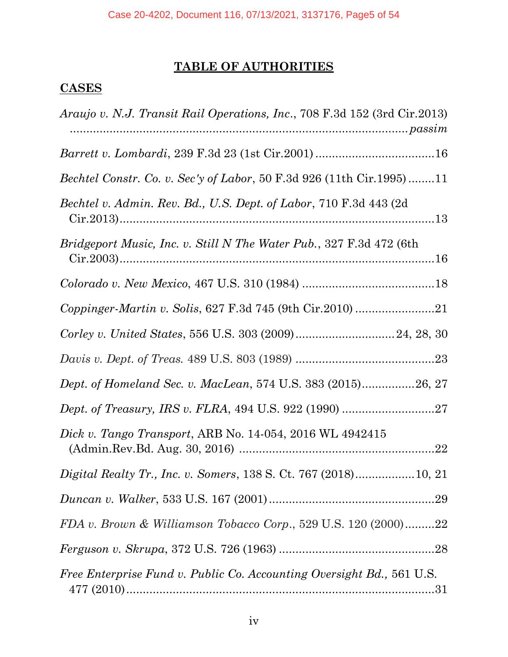## **TABLE OF AUTHORITIES**

## **CASES**

| <i>Araujo v. N.J. Transit Rail Operations, Inc., 708 F.3d 152 (3rd Cir.2013)</i> |
|----------------------------------------------------------------------------------|
|                                                                                  |
| <i>Bechtel Constr. Co. v. Sec'y of Labor,</i> 50 F.3d 926 (11th Cir.1995)11      |
| Bechtel v. Admin. Rev. Bd., U.S. Dept. of Labor, 710 F.3d 443 (2d)               |
| <i>Bridgeport Music, Inc. v. Still N The Water Pub., 327 F.3d 472 (6th)</i>      |
|                                                                                  |
|                                                                                  |
|                                                                                  |
|                                                                                  |
| Dept. of Homeland Sec. v. MacLean, 574 U.S. 383 (2015)26, 27                     |
|                                                                                  |
| Dick v. Tango Transport, ARB No. 14-054, 2016 WL 4942415                         |
| Digital Realty Tr., Inc. v. Somers, 138 S. Ct. 767 (2018) 10, 21                 |
|                                                                                  |
| FDA v. Brown & Williamson Tobacco Corp., 529 U.S. 120 (2000)22                   |
|                                                                                  |
| Free Enterprise Fund v. Public Co. Accounting Oversight Bd., 561 U.S.            |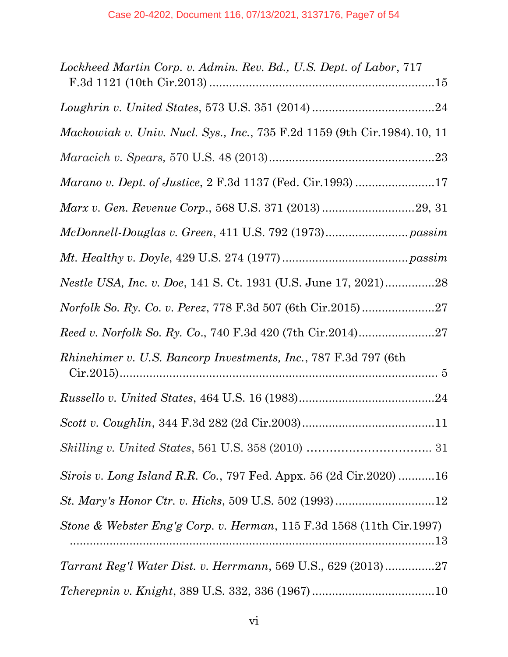| Lockheed Martin Corp. v. Admin. Rev. Bd., U.S. Dept. of Labor, 717               |
|----------------------------------------------------------------------------------|
|                                                                                  |
| <i>Mackowiak v. Univ. Nucl. Sys., Inc., 735 F.2d 1159 (9th Cir.1984). 10, 11</i> |
|                                                                                  |
| <i>Marano v. Dept. of Justice, 2 F.3d 1137 (Fed. Cir.1993) 17</i>                |
| Marx v. Gen. Revenue Corp., 568 U.S. 371 (2013) 29, 31                           |
|                                                                                  |
|                                                                                  |
| <i>Nestle USA, Inc. v. Doe, 141 S. Ct. 1931 (U.S. June 17, 2021)28</i>           |
|                                                                                  |
|                                                                                  |
| <i>Rhinehimer v. U.S. Bancorp Investments, Inc., 787 F.3d 797 (6th)</i>          |
|                                                                                  |
|                                                                                  |
|                                                                                  |
| Sirois v. Long Island R.R. Co., 797 Fed. Appx. 56 (2d Cir.2020) 16               |
|                                                                                  |
| Stone & Webster Eng'g Corp. v. Herman, 115 F.3d 1568 (11th Cir.1997)             |
| Tarrant Reg'l Water Dist. v. Herrmann, 569 U.S., 629 (2013)27                    |
|                                                                                  |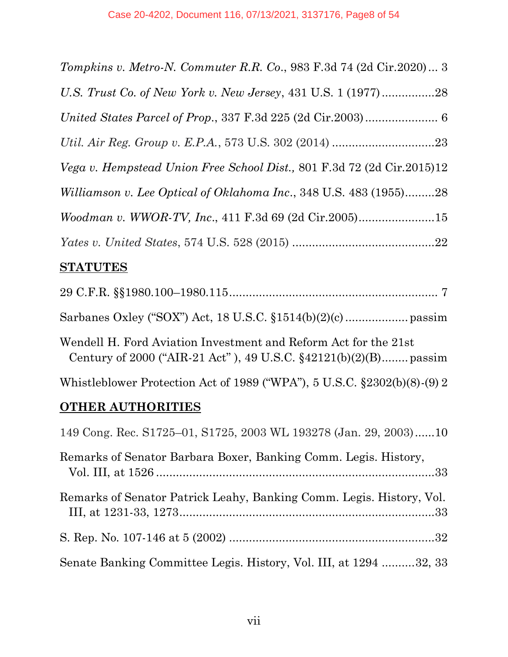| <i>Tompkins v. Metro-N. Commuter R.R. Co.</i> , 983 F.3d 74 (2d Cir.2020) 3 |
|-----------------------------------------------------------------------------|
| U.S. Trust Co. of New York v. New Jersey, 431 U.S. 1 (1977)28               |
|                                                                             |
|                                                                             |
| Vega v. Hempstead Union Free School Dist., 801 F.3d 72 (2d Cir.2015)12      |
| Williamson v. Lee Optical of Oklahoma Inc., 348 U.S. 483 (1955)28           |
| Woodman v. WWOR-TV, Inc., 411 F.3d 69 (2d Cir.2005)15                       |
|                                                                             |
|                                                                             |

#### **STATUTES**

| <b>OTHER AUTHORITIES</b>                                                 |
|--------------------------------------------------------------------------|
| Whistleblower Protection Act of 1989 ("WPA"), 5 U.S.C. §2302(b)(8)-(9) 2 |
| Wendell H. Ford Aviation Investment and Reform Act for the 21st          |
|                                                                          |
|                                                                          |

149 Cong. Rec. S1725–01, S1725, 2003 WL 193278 (Jan. 29, 2003)......10 Remarks of Senator Barbara Boxer, Banking Comm. Legis. History, Vol. III, at 1526 ....................................................................................33 Remarks of Senator Patrick Leahy, Banking Comm. Legis. History, Vol. III, at 1231-33, 1273.............................................................................33 S. Rep. No. 107-146 at 5 (2002) ..............................................................32 Senate Banking Committee Legis. History, Vol. III, at 1294 ..........32, 33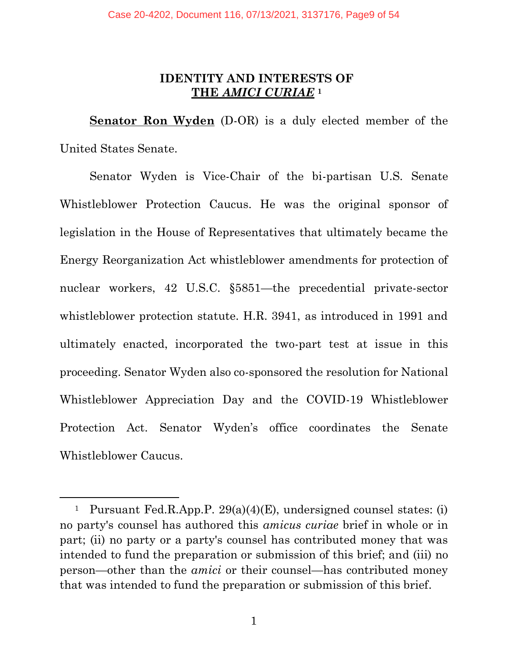#### **IDENTITY AND INTERESTS OF THE** *AMICI CURIAE* **<sup>1</sup>**

**Senator Ron Wyden** (D-OR) is a duly elected member of the United States Senate.

Senator Wyden is Vice-Chair of the bi-partisan U.S. Senate Whistleblower Protection Caucus. He was the original sponsor of legislation in the House of Representatives that ultimately became the Energy Reorganization Act whistleblower amendments for protection of nuclear workers, 42 U.S.C. §5851—the precedential private-sector whistleblower protection statute. H.R. 3941, as introduced in 1991 and ultimately enacted, incorporated the two-part test at issue in this proceeding. Senator Wyden also co-sponsored the resolution for National Whistleblower Appreciation Day and the COVID-19 Whistleblower Protection Act. Senator Wyden's office coordinates the Senate Whistleblower Caucus.

<sup>&</sup>lt;sup>1</sup> Pursuant Fed.R.App.P.  $29(a)(4)(E)$ , undersigned counsel states: (i) no party's counsel has authored this *amicus curiae* brief in whole or in part; (ii) no party or a party's counsel has contributed money that was intended to fund the preparation or submission of this brief; and (iii) no person—other than the *amici* or their counsel—has contributed money that was intended to fund the preparation or submission of this brief.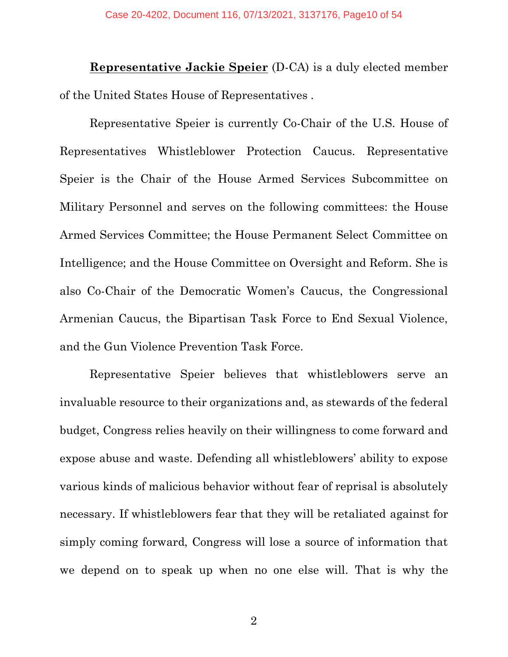**Representative Jackie Speier** (D-CA) is a duly elected member of the United States House of Representatives .

Representative Speier is currently Co-Chair of the U.S. House of Representatives Whistleblower Protection Caucus. Representative Speier is the Chair of the House Armed Services Subcommittee on Military Personnel and serves on the following committees: the House Armed Services Committee; the House Permanent Select Committee on Intelligence; and the House Committee on Oversight and Reform. She is also Co-Chair of the Democratic Women's Caucus, the Congressional Armenian Caucus, the Bipartisan Task Force to End Sexual Violence, and the Gun Violence Prevention Task Force.

Representative Speier believes that whistleblowers serve an invaluable resource to their organizations and, as stewards of the federal budget, Congress relies heavily on their willingness to come forward and expose abuse and waste. Defending all whistleblowers' ability to expose various kinds of malicious behavior without fear of reprisal is absolutely necessary. If whistleblowers fear that they will be retaliated against for simply coming forward, Congress will lose a source of information that we depend on to speak up when no one else will. That is why the

2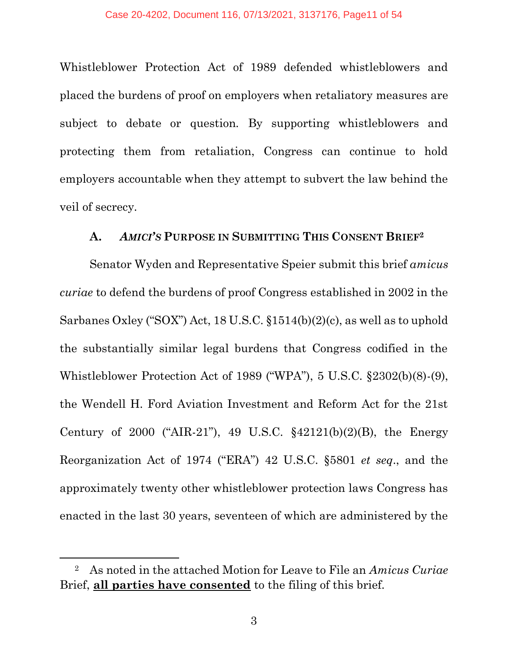Whistleblower Protection Act of 1989 defended whistleblowers and placed the burdens of proof on employers when retaliatory measures are subject to debate or question. By supporting whistleblowers and protecting them from retaliation, Congress can continue to hold employers accountable when they attempt to subvert the law behind the veil of secrecy.

#### **A.** *AMICI'S* **PURPOSE IN SUBMITTING THIS CONSENT BRIEF<sup>2</sup>**

Senator Wyden and Representative Speier submit this brief *amicus curiae* to defend the burdens of proof Congress established in 2002 in the Sarbanes Oxley ("SOX") Act, 18 U.S.C. §1514(b)(2)(c), as well as to uphold the substantially similar legal burdens that Congress codified in the Whistleblower Protection Act of 1989 ("WPA"), 5 U.S.C. §2302(b)(8)-(9), the Wendell H. Ford Aviation Investment and Reform Act for the 21st Century of 2000 ("AIR-21"), 49 U.S.C. §42121(b)(2)(B), the Energy Reorganization Act of 1974 ("ERA") 42 U.S.C. §5801 *et seq*., and the approximately twenty other whistleblower protection laws Congress has enacted in the last 30 years, seventeen of which are administered by the

<sup>2</sup> As noted in the attached Motion for Leave to File an *Amicus Curiae*  Brief, **all parties have consented** to the filing of this brief.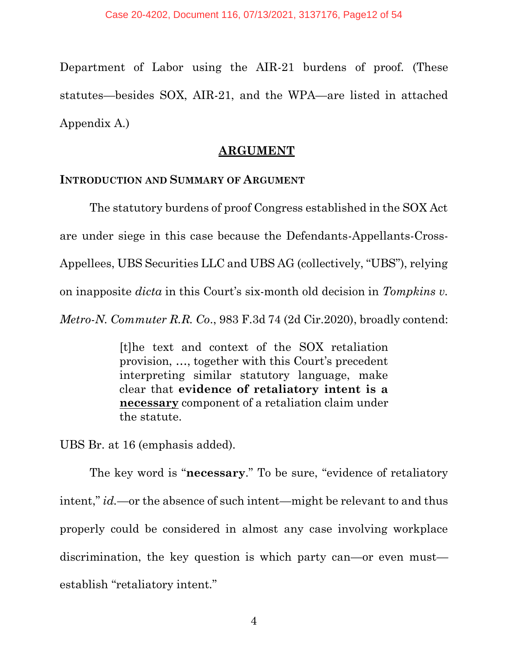Department of Labor using the AIR-21 burdens of proof. (These statutes—besides SOX, AIR-21, and the WPA—are listed in attached Appendix A.)

#### **ARGUMENT**

#### **INTRODUCTION AND SUMMARY OF ARGUMENT**

The statutory burdens of proof Congress established in the SOX Act are under siege in this case because the Defendants-Appellants-Cross-Appellees, UBS Securities LLC and UBS AG (collectively, "UBS"), relying on inapposite *dicta* in this Court's six-month old decision in *Tompkins v. Metro-N. Commuter R.R. Co*., 983 F.3d 74 (2d Cir.2020), broadly contend:

> [t]he text and context of the SOX retaliation provision, …, together with this Court's precedent interpreting similar statutory language, make clear that **evidence of retaliatory intent is a necessary** component of a retaliation claim under the statute.

UBS Br. at 16 (emphasis added).

The key word is "**necessary**." To be sure, "evidence of retaliatory intent," *id.—*or the absence of such intent—might be relevant to and thus properly could be considered in almost any case involving workplace discrimination, the key question is which party can—or even must establish "retaliatory intent."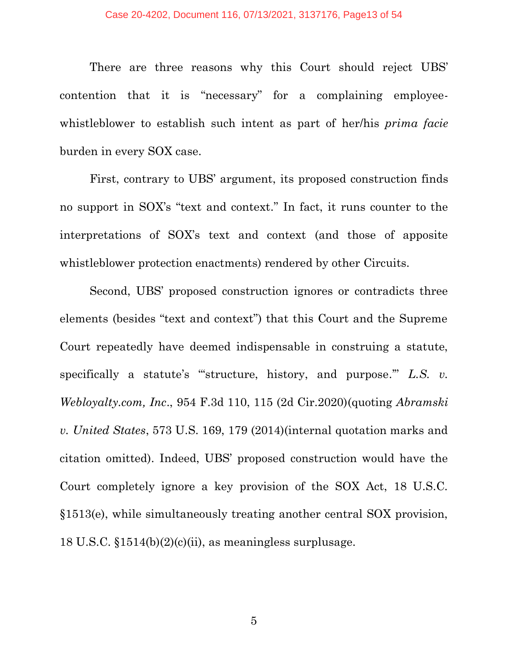#### Case 20-4202, Document 116, 07/13/2021, 3137176, Page13 of 54

There are three reasons why this Court should reject UBS' contention that it is "necessary" for a complaining employeewhistleblower to establish such intent as part of her/his *prima facie* burden in every SOX case.

First, contrary to UBS' argument, its proposed construction finds no support in SOX's "text and context." In fact, it runs counter to the interpretations of SOX's text and context (and those of apposite whistleblower protection enactments) rendered by other Circuits.

Second, UBS' proposed construction ignores or contradicts three elements (besides "text and context") that this Court and the Supreme Court repeatedly have deemed indispensable in construing a statute, specifically a statute's "structure, history, and purpose." *L.S. v. Webloyalty.com, Inc*., 954 F.3d 110, 115 (2d Cir.2020)(quoting *Abramski v. United States*, 573 U.S. 169, 179 (2014)(internal quotation marks and citation omitted). Indeed, UBS' proposed construction would have the Court completely ignore a key provision of the SOX Act, 18 U.S.C. §1513(e), while simultaneously treating another central SOX provision, 18 U.S.C. §1514(b)(2)(c)(ii), as meaningless surplusage.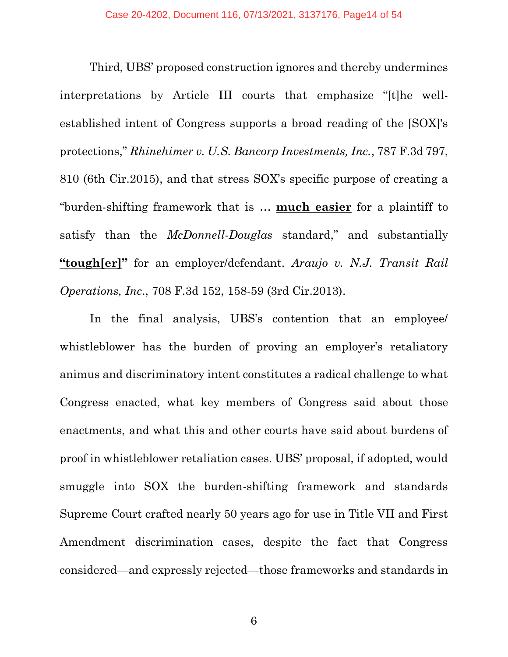Third, UBS' proposed construction ignores and thereby undermines interpretations by Article III courts that emphasize "[t]he wellestablished intent of Congress supports a broad reading of the [SOX]'s protections," *Rhinehimer v. U.S. Bancorp Investments, Inc.*, 787 F.3d 797, 810 (6th Cir.2015), and that stress SOX's specific purpose of creating a "burden-shifting framework that is … **much easier** for a plaintiff to satisfy than the *McDonnell-Douglas* standard," and substantially **"tough[er]"** for an employer/defendant. *Araujo v. N.J. Transit Rail Operations, Inc*., 708 F.3d 152, 158-59 (3rd Cir.2013).

In the final analysis, UBS's contention that an employee/ whistleblower has the burden of proving an employer's retaliatory animus and discriminatory intent constitutes a radical challenge to what Congress enacted, what key members of Congress said about those enactments, and what this and other courts have said about burdens of proof in whistleblower retaliation cases. UBS' proposal, if adopted, would smuggle into SOX the burden-shifting framework and standards Supreme Court crafted nearly 50 years ago for use in Title VII and First Amendment discrimination cases, despite the fact that Congress considered—and expressly rejected—those frameworks and standards in

6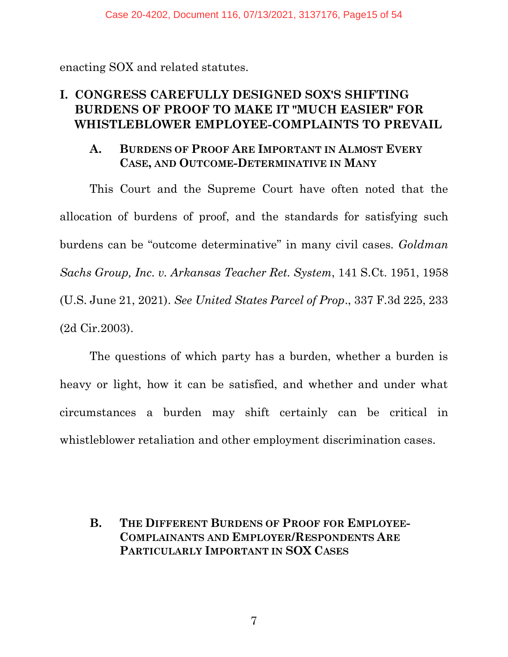#### Case 20-4202, Document 116, 07/13/2021, 3137176, Page15 of 54

enacting SOX and related statutes.

## **I. CONGRESS CAREFULLY DESIGNED SOX'S SHIFTING BURDENS OF PROOF TO MAKE IT "MUCH EASIER" FOR WHISTLEBLOWER EMPLOYEE-COMPLAINTS TO PREVAIL**

#### **A. BURDENS OF PROOF ARE IMPORTANT IN ALMOST EVERY CASE, AND OUTCOME-DETERMINATIVE IN MANY**

This Court and the Supreme Court have often noted that the allocation of burdens of proof, and the standards for satisfying such burdens can be "outcome determinative" in many civil cases. *Goldman Sachs Group, Inc. v. Arkansas Teacher Ret. System*, 141 S.Ct. 1951, 1958 (U.S. June 21, 2021). *See United States Parcel of Prop*., 337 F.3d 225, 233 (2d Cir.2003).

The questions of which party has a burden, whether a burden is heavy or light, how it can be satisfied, and whether and under what circumstances a burden may shift certainly can be critical in whistleblower retaliation and other employment discrimination cases.

#### **B. THE DIFFERENT BURDENS OF PROOF FOR EMPLOYEE-COMPLAINANTS AND EMPLOYER/RESPONDENTS ARE PARTICULARLY IMPORTANT IN SOX CASES**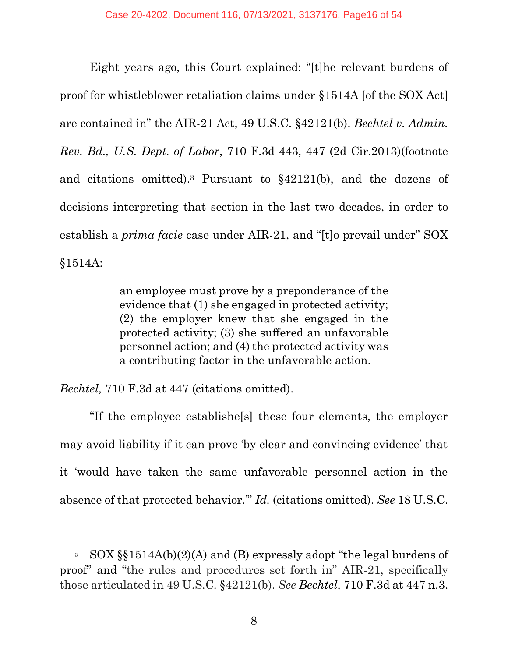Eight years ago, this Court explained: "[t]he relevant burdens of proof for whistleblower retaliation claims under §1514A [of the SOX Act] are contained in" the AIR-21 Act, 49 U.S.C. §42121(b). *Bechtel v. Admin. Rev. Bd., U.S. Dept. of Labor*, 710 F.3d 443, 447 (2d Cir.2013)(footnote and citations omitted).<sup>3</sup> Pursuant to §42121(b), and the dozens of decisions interpreting that section in the last two decades, in order to establish a *prima facie* case under AIR-21, and "[t]o prevail under" SOX §1514A:

> an employee must prove by a preponderance of the evidence that (1) she engaged in protected activity; (2) the employer knew that she engaged in the protected activity; (3) she suffered an unfavorable personnel action; and (4) the protected activity was a contributing factor in the unfavorable action.

*Bechtel,* 710 F.3d at 447 (citations omitted).

"If the employee establishe[s] these four elements, the employer may avoid liability if it can prove 'by clear and convincing evidence' that it 'would have taken the same unfavorable personnel action in the absence of that protected behavior.'" *Id.* (citations omitted). *See* 18 U.S.C.

<sup>3</sup> SOX §§1514A(b)(2)(A) and (B) expressly adopt "the legal burdens of proof" and "the rules and procedures set forth in" AIR-21, specifically those articulated in 49 U.S.C. §42121(b). *See Bechtel,* 710 F.3d at 447 n.3.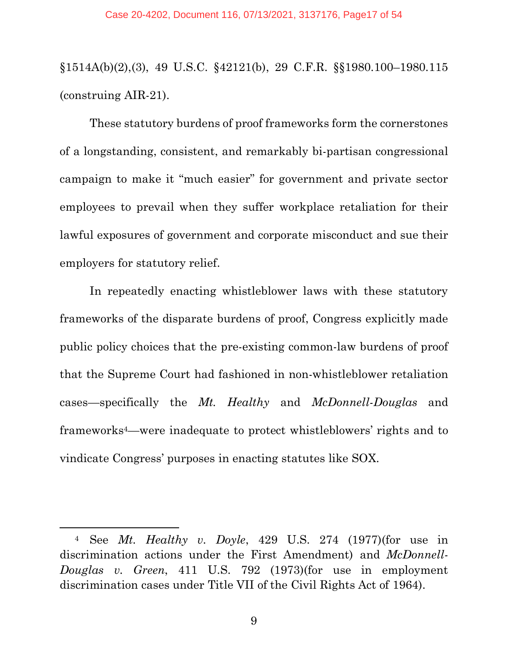§1514A(b)(2),(3), 49 U.S.C. §42121(b), 29 C.F.R. §§1980.100–1980.115 (construing AIR-21).

These statutory burdens of proof frameworks form the cornerstones of a longstanding, consistent, and remarkably bi-partisan congressional campaign to make it "much easier" for government and private sector employees to prevail when they suffer workplace retaliation for their lawful exposures of government and corporate misconduct and sue their employers for statutory relief.

In repeatedly enacting whistleblower laws with these statutory frameworks of the disparate burdens of proof, Congress explicitly made public policy choices that the pre-existing common-law burdens of proof that the Supreme Court had fashioned in non-whistleblower retaliation cases—specifically the *Mt. Healthy* and *McDonnell-Douglas* and frameworks4—were inadequate to protect whistleblowers' rights and to vindicate Congress' purposes in enacting statutes like SOX.

9

<sup>4</sup> See *Mt. Healthy v. Doyle*, 429 U.S. 274 (1977)(for use in discrimination actions under the First Amendment) and *McDonnell-Douglas v. Green*, 411 U.S. 792 (1973)(for use in employment discrimination cases under Title VII of the Civil Rights Act of 1964).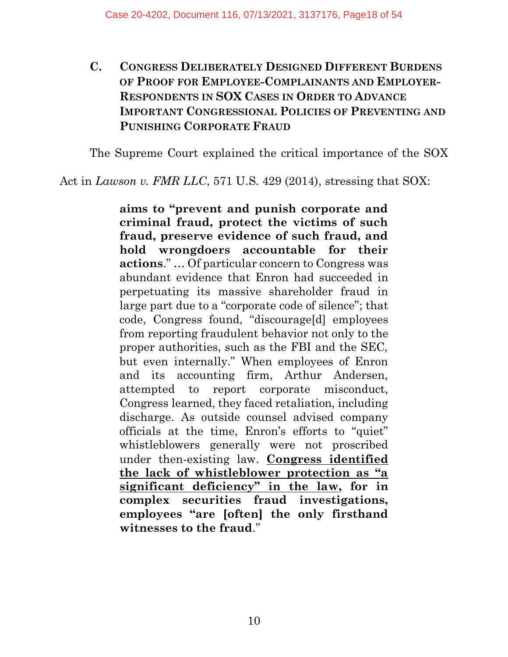## **C. CONGRESS DELIBERATELY DESIGNED DIFFERENT BURDENS OF PROOF FOR EMPLOYEE-COMPLAINANTS AND EMPLOYER-RESPONDENTS IN SOX CASES IN ORDER TO ADVANCE IMPORTANT CONGRESSIONAL POLICIES OF PREVENTING AND PUNISHING CORPORATE FRAUD**

The Supreme Court explained the critical importance of the SOX

Act in *Lawson v. FMR LLC*, 571 U.S. 429 (2014), stressing that SOX:

**aims to "prevent and punish corporate and criminal fraud, protect the victims of such fraud, preserve evidence of such fraud, and hold wrongdoers accountable for their actions**." … Of particular concern to Congress was abundant evidence that Enron had succeeded in perpetuating its massive shareholder fraud in large part due to a "corporate code of silence"; that code, Congress found, "discourage[d] employees from reporting fraudulent behavior not only to the proper authorities, such as the FBI and the SEC, but even internally." When employees of Enron and its accounting firm, Arthur Andersen, attempted to report corporate misconduct, Congress learned, they faced retaliation, including discharge. As outside counsel advised company officials at the time, Enron's efforts to "quiet" whistleblowers generally were not proscribed under then-existing law. **Congress identified the lack of whistleblower protection as "a significant deficiency" in the law, for in complex securities fraud investigations, employees "are [often] the only firsthand witnesses to the fraud**."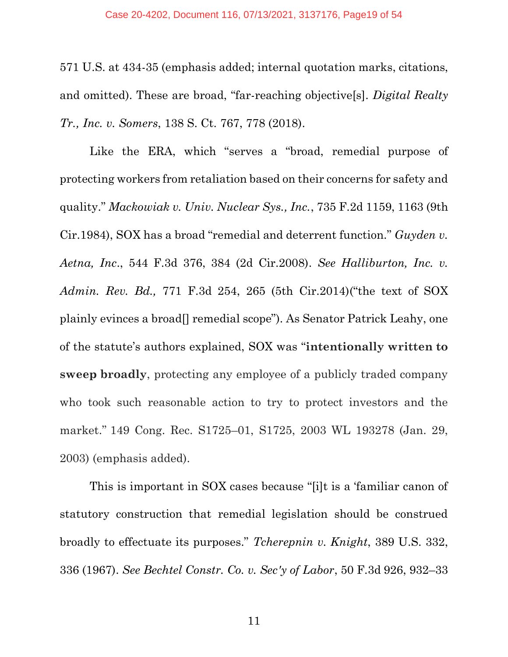571 U.S. at 434-35 (emphasis added; internal quotation marks, citations, and omitted). These are broad, "far-reaching objective[s]. *Digital Realty Tr., Inc. v. Somers*, 138 S. Ct. 767, 778 (2018).

Like the ERA, which "serves a "broad, remedial purpose of protecting workers from retaliation based on their concerns for safety and quality." *Mackowiak v. Univ. Nuclear Sys., Inc.*, 735 F.2d 1159, 1163 (9th Cir.1984), SOX has a broad "remedial and deterrent function." *Guyden v. Aetna, Inc*., 544 F.3d 376, 384 (2d Cir.2008). *See Halliburton, Inc. v. Admin. Rev. Bd.,* 771 F.3d 254, 265 (5th Cir.2014)("the text of SOX plainly evinces a broad[] remedial scope"). As Senator Patrick Leahy, one of the statute's authors explained, SOX was "**intentionally written to sweep broadly**, protecting any employee of a publicly traded company who took such reasonable action to try to protect investors and the market." 149 Cong. Rec. S1725–01, S1725, 2003 WL 193278 (Jan. 29, 2003) (emphasis added).

This is important in SOX cases because "[i]t is a 'familiar canon of statutory construction that remedial legislation should be construed broadly to effectuate its purposes." *Tcherepnin v. Knight*, 389 U.S. 332, 336 (1967). *See Bechtel Constr. Co. v. Sec'y of Labor*, 50 F.3d 926, 932–33

11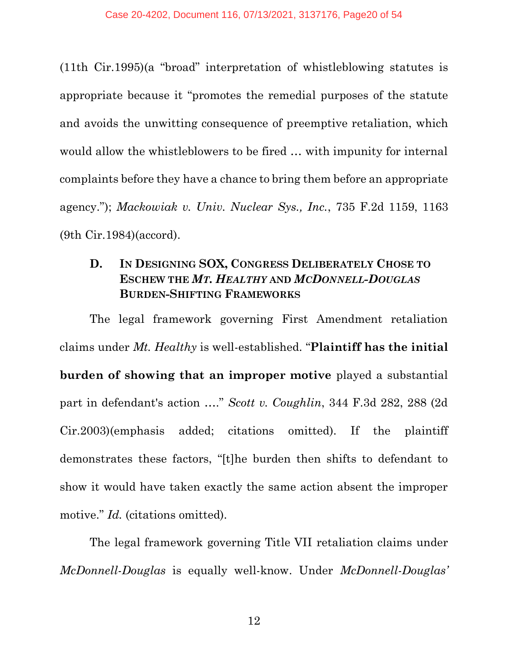(11th Cir.1995)(a "broad" interpretation of whistleblowing statutes is appropriate because it "promotes the remedial purposes of the statute and avoids the unwitting consequence of preemptive retaliation, which would allow the whistleblowers to be fired … with impunity for internal complaints before they have a chance to bring them before an appropriate agency."); *Mackowiak v. Univ. Nuclear Sys., Inc.*, 735 F.2d 1159, 1163 (9th Cir.1984)(accord).

## **D. IN DESIGNING SOX, CONGRESS DELIBERATELY CHOSE TO ESCHEW THE** *MT. HEALTHY* **AND** *MCDONNELL-DOUGLAS* **BURDEN-SHIFTING FRAMEWORKS**

The legal framework governing First Amendment retaliation claims under *Mt. Healthy* is well-established. "**Plaintiff has the initial burden of showing that an improper motive** played a substantial part in defendant's action …." *Scott v. Coughlin*, 344 F.3d 282, 288 (2d Cir.2003)(emphasis added; citations omitted). If the plaintiff demonstrates these factors, "[t]he burden then shifts to defendant to show it would have taken exactly the same action absent the improper motive." *Id.* (citations omitted).

The legal framework governing Title VII retaliation claims under *McDonnell-Douglas* is equally well-know. Under *McDonnell-Douglas'*

12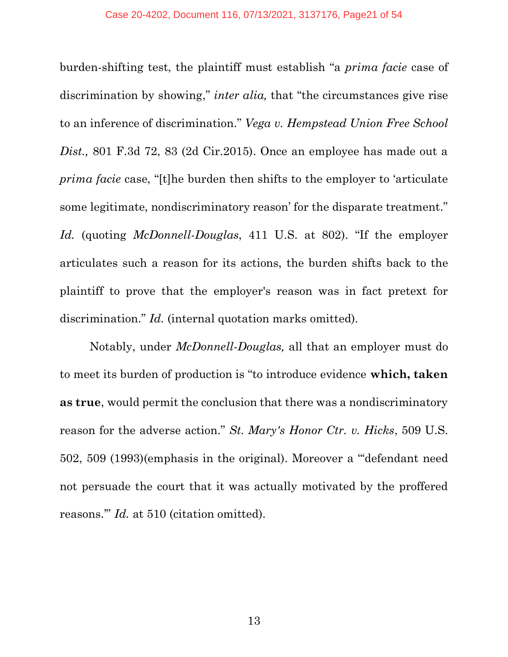burden-shifting test, the plaintiff must establish "a *prima facie* case of discrimination by showing," *inter alia,* that "the circumstances give rise to an inference of discrimination." *Vega v. Hempstead Union Free School Dist.,* 801 F.3d 72, 83 (2d Cir.2015). Once an employee has made out a *prima facie* case, "[t]he burden then shifts to the employer to 'articulate some legitimate, nondiscriminatory reason' for the disparate treatment." *Id.* (quoting *McDonnell-Douglas*, 411 U.S. at 802). "If the employer articulates such a reason for its actions, the burden shifts back to the plaintiff to prove that the employer's reason was in fact pretext for discrimination." *Id.* (internal quotation marks omitted).

Notably, under *McDonnell-Douglas,* all that an employer must do to meet its burden of production is "to introduce evidence **which, taken as true**, would permit the conclusion that there was a nondiscriminatory reason for the adverse action." *St. Mary's Honor Ctr. v. Hicks*, 509 U.S. 502, 509 (1993)(emphasis in the original). Moreover a "'defendant need not persuade the court that it was actually motivated by the proffered reasons.'" *Id.* at 510 (citation omitted).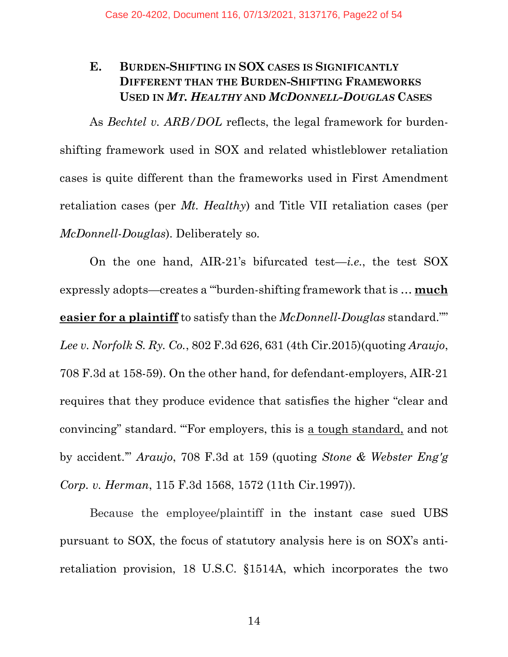## **E. BURDEN-SHIFTING IN SOX CASES IS SIGNIFICANTLY DIFFERENT THAN THE BURDEN-SHIFTING FRAMEWORKS USED IN** *MT. HEALTHY* **AND** *MCDONNELL-DOUGLAS* **CASES**

As *Bechtel v. ARB/DOL* reflects, the legal framework for burdenshifting framework used in SOX and related whistleblower retaliation cases is quite different than the frameworks used in First Amendment retaliation cases (per *Mt. Healthy*) and Title VII retaliation cases (per *McDonnell-Douglas*). Deliberately so.

On the one hand, AIR-21's bifurcated test—*i.e*., the test SOX expressly adopts—creates a "'burden-shifting framework that is … **much easier for a plaintiff** to satisfy than the *McDonnell-Douglas* standard."" *Lee v. Norfolk S. Ry. Co.*, 802 F.3d 626, 631 (4th Cir.2015)(quoting *Araujo*, 708 F.3d at 158-59). On the other hand, for defendant-employers, AIR-21 requires that they produce evidence that satisfies the higher "clear and convincing" standard. '"For employers, this is a tough standard, and not by accident.'" *Araujo*, 708 F.3d at 159 (quoting *Stone & Webster Eng'g Corp. v. Herman*, 115 F.3d 1568, 1572 (11th Cir.1997)).

Because the employee/plaintiff in the instant case sued UBS pursuant to SOX, the focus of statutory analysis here is on SOX's antiretaliation provision, 18 U.S.C. §1514A, which incorporates the two

14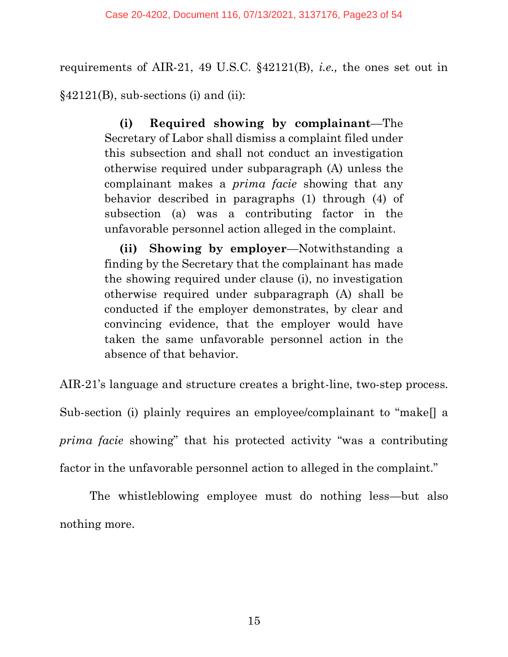requirements of AIR-21, 49 U.S.C. §42121(B), *i.e.,* the ones set out in  $§42121(B)$ , sub-sections (i) and (ii):

> **(i) Required showing by complainant**—The Secretary of Labor shall dismiss a complaint filed under this subsection and shall not conduct an investigation otherwise required under subparagraph (A) unless the complainant makes a *prima facie* showing that any behavior described in paragraphs (1) through (4) of subsection (a) was a contributing factor in the unfavorable personnel action alleged in the complaint.

> **(ii) Showing by employer**—Notwithstanding a finding by the Secretary that the complainant has made the showing required under clause (i), no investigation otherwise required under subparagraph (A) shall be conducted if the employer demonstrates, by clear and convincing evidence, that the employer would have taken the same unfavorable personnel action in the absence of that behavior.

AIR-21's language and structure creates a bright-line, two-step process.

Sub-section (i) plainly requires an employee/complainant to "make<sup>[]</sup> a

*prima facie* showing" that his protected activity "was a contributing

factor in the unfavorable personnel action to alleged in the complaint."

The whistleblowing employee must do nothing less—but also nothing more.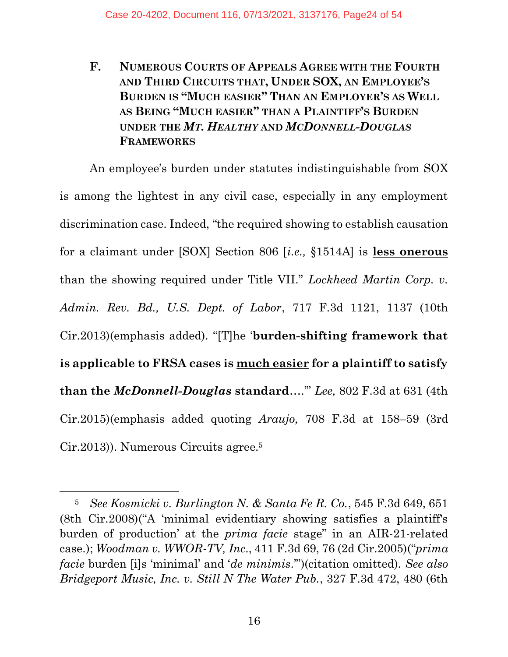**F. NUMEROUS COURTS OF APPEALS AGREE WITH THE FOURTH AND THIRD CIRCUITS THAT, UNDER SOX, AN EMPLOYEE'S BURDEN IS "MUCH EASIER" THAN AN EMPLOYER'S AS WELL AS BEING "MUCH EASIER" THAN A PLAINTIFF'S BURDEN UNDER THE** *MT. HEALTHY* **AND** *MCDONNELL-DOUGLAS* **FRAMEWORKS**

An employee's burden under statutes indistinguishable from SOX is among the lightest in any civil case, especially in any employment discrimination case. Indeed, "the required showing to establish causation for a claimant under [SOX] Section 806 [*i.e.,* §1514A] is **less onerous** than the showing required under Title VII." *Lockheed Martin Corp. v. Admin. Rev. Bd., U.S. Dept. of Labor*, 717 F.3d 1121, 1137 (10th Cir.2013)(emphasis added). "[T]he '**burden-shifting framework that is applicable to FRSA cases is much easier for a plaintiff to satisfy than the** *McDonnell-Douglas* **standard**….'" *Lee,* 802 F.3d at 631 (4th Cir.2015)(emphasis added quoting *Araujo,* 708 F.3d at 158–59 (3rd Cir.2013)). Numerous Circuits agree.<sup>5</sup>

<sup>5</sup> *See Kosmicki v. Burlington N. & Santa Fe R. Co.*, 545 F.3d 649, 651 (8th Cir.2008)("A 'minimal evidentiary showing satisfies a plaintiff's burden of production' at the *prima facie* stage" in an AIR-21-related case.); *Woodman v. WWOR-TV, Inc*., 411 F.3d 69, 76 (2d Cir.2005)("*prima facie* burden [i]s 'minimal' and '*de minimis*.'")(citation omitted). *See also Bridgeport Music, Inc. v. Still N The Water Pub.*, 327 F.3d 472, 480 (6th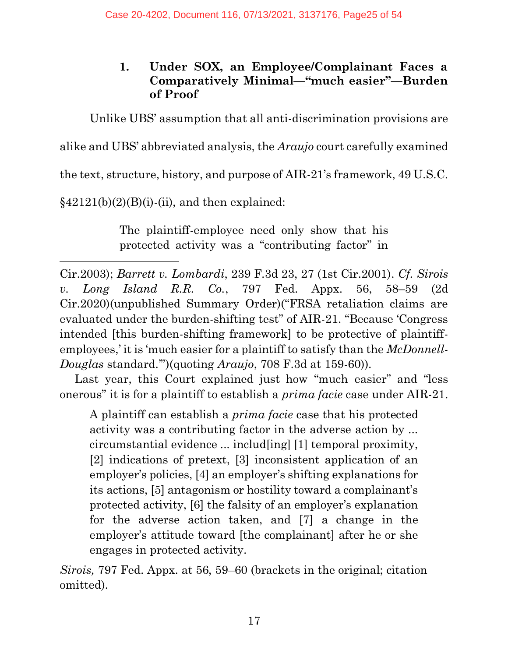## **1. Under SOX, an Employee/Complainant Faces a Comparatively Minimal—"much easier"—Burden of Proof**

Unlike UBS' assumption that all anti-discrimination provisions are

alike and UBS' abbreviated analysis, the *Araujo* court carefully examined

the text, structure, history, and purpose of AIR-21's framework, 49 U.S.C.

 $§42121(b)(2)(B)(i)$ -(ii), and then explained:

The plaintiff-employee need only show that his protected activity was a "contributing factor" in

Cir.2003); *Barrett v. Lombardi*, 239 F.3d 23, 27 (1st Cir.2001). *Cf. Sirois v. Long Island R.R. Co.*, 797 Fed. Appx. 56, 58–59 (2d Cir.2020)(unpublished Summary Order)("FRSA retaliation claims are evaluated under the burden-shifting test" of AIR-21. "Because 'Congress intended [this burden-shifting framework] to be protective of plaintiffemployees,' it is 'much easier for a plaintiff to satisfy than the *McDonnell-Douglas* standard.'")(quoting *Araujo*, 708 F.3d at 159-60)).

Last year, this Court explained just how "much easier" and "less onerous" it is for a plaintiff to establish a *prima facie* case under AIR-21.

A plaintiff can establish a *prima facie* case that his protected activity was a contributing factor in the adverse action by ... circumstantial evidence ... includ[ing] [1] temporal proximity, [2] indications of pretext, [3] inconsistent application of an employer's policies, [4] an employer's shifting explanations for its actions, [5] antagonism or hostility toward a complainant's protected activity, [6] the falsity of an employer's explanation for the adverse action taken, and [7] a change in the employer's attitude toward [the complainant] after he or she engages in protected activity.

*Sirois,* 797 Fed. Appx. at 56, 59–60 (brackets in the original; citation omitted).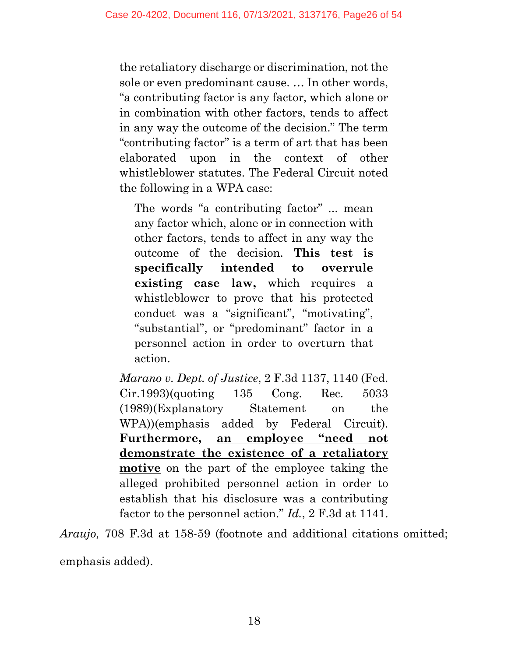the retaliatory discharge or discrimination, not the sole or even predominant cause. … In other words, "a contributing factor is any factor, which alone or in combination with other factors, tends to affect in any way the outcome of the decision." The term "contributing factor" is a term of art that has been elaborated upon in the context of other whistleblower statutes. The Federal Circuit noted the following in a WPA case:

The words "a contributing factor" ... mean any factor which, alone or in connection with other factors, tends to affect in any way the outcome of the decision. **This test is specifically intended to overrule existing case law,** which requires a whistleblower to prove that his protected conduct was a "significant", "motivating", "substantial", or "predominant" factor in a personnel action in order to overturn that action.

*Marano v. Dept. of Justice*, 2 F.3d 1137, 1140 (Fed. Cir.1993)(quoting 135 Cong. Rec. 5033 (1989)(Explanatory Statement on the WPA))(emphasis added by Federal Circuit). **Furthermore, an employee "need not demonstrate the existence of a retaliatory motive** on the part of the employee taking the alleged prohibited personnel action in order to establish that his disclosure was a contributing factor to the personnel action." *Id.*, 2 F.3d at 1141.

*Araujo,* 708 F.3d at 158-59 (footnote and additional citations omitted;

emphasis added).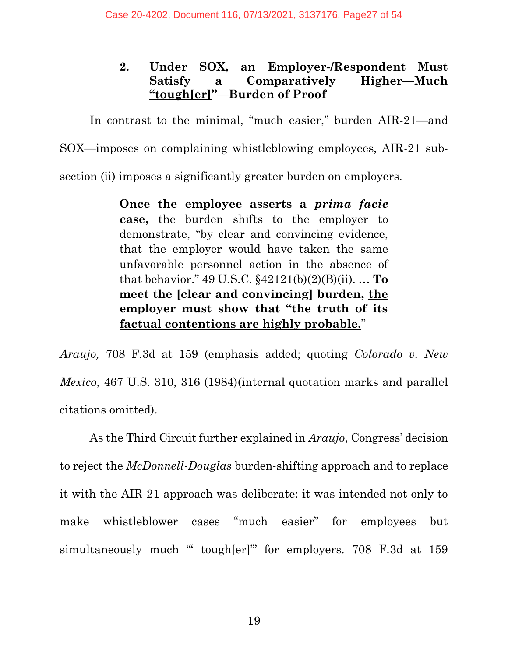#### **2. Under SOX, an Employer-/Respondent Must Satisfy a Comparatively Higher—Much "tough[er]"—Burden of Proof**

In contrast to the minimal, "much easier," burden AIR-21—and SOX—imposes on complaining whistleblowing employees, AIR-21 subsection (ii) imposes a significantly greater burden on employers.

> **Once the employee asserts a** *prima facie* **case,** the burden shifts to the employer to demonstrate, "by clear and convincing evidence, that the employer would have taken the same unfavorable personnel action in the absence of that behavior." 49 U.S.C. §42121(b)(2)(B)(ii). … **To meet the [clear and convincing] burden, the employer must show that "the truth of its factual contentions are highly probable.**"

*Araujo,* 708 F.3d at 159 (emphasis added; quoting *Colorado v. New Mexico*, 467 U.S. 310, 316 (1984)(internal quotation marks and parallel citations omitted).

As the Third Circuit further explained in *Araujo*, Congress' decision to reject the *McDonnell-Douglas* burden-shifting approach and to replace it with the AIR-21 approach was deliberate: it was intended not only to make whistleblower cases "much easier" for employees but simultaneously much "" tough[er]" for employers. 708 F.3d at 159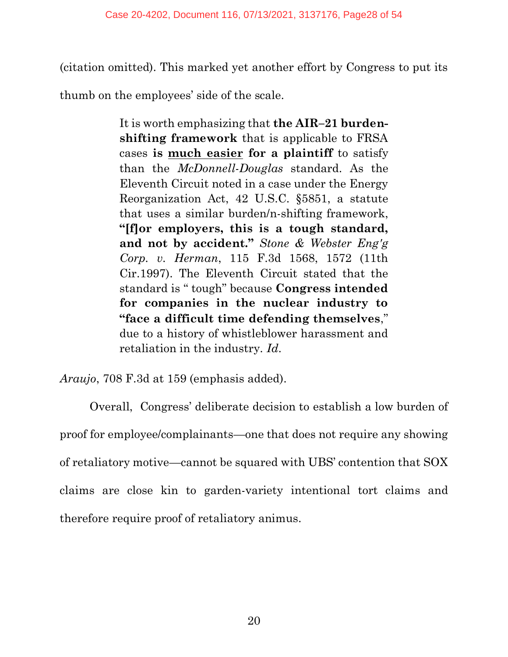(citation omitted). This marked yet another effort by Congress to put its

thumb on the employees' side of the scale.

It is worth emphasizing that **the AIR–21 burdenshifting framework** that is applicable to FRSA cases **is much easier for a plaintiff** to satisfy than the *McDonnell-Douglas* standard. As the Eleventh Circuit noted in a case under the Energy Reorganization Act, 42 U.S.C. §5851, a statute that uses a similar burden/n-shifting framework, **"[f]or employers, this is a tough standard, and not by accident."** *Stone & Webster Eng'g Corp. v. Herman*, 115 F.3d 1568, 1572 (11th Cir.1997). The Eleventh Circuit stated that the standard is " tough" because **Congress intended for companies in the nuclear industry to "face a difficult time defending themselves**," due to a history of whistleblower harassment and retaliation in the industry. *Id*.

*Araujo*, 708 F.3d at 159 (emphasis added).

Overall, Congress' deliberate decision to establish a low burden of proof for employee/complainants—one that does not require any showing of retaliatory motive—cannot be squared with UBS' contention that SOX claims are close kin to garden-variety intentional tort claims and therefore require proof of retaliatory animus.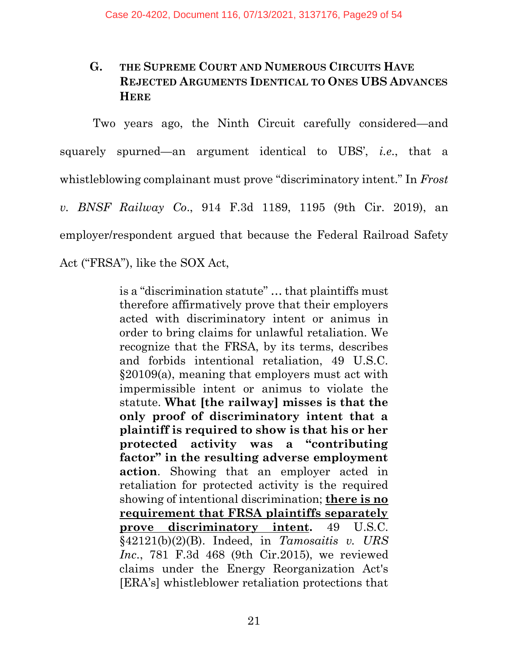## **G. THE SUPREME COURT AND NUMEROUS CIRCUITS HAVE REJECTED ARGUMENTS IDENTICAL TO ONES UBS ADVANCES HERE**

Two years ago, the Ninth Circuit carefully considered—and squarely spurned—an argument identical to UBS', *i.e*., that a whistleblowing complainant must prove "discriminatory intent." In *Frost v. BNSF Railway Co*., 914 F.3d 1189, 1195 (9th Cir. 2019), an employer/respondent argued that because the Federal Railroad Safety Act ("FRSA"), like the SOX Act,

> is a "discrimination statute" … that plaintiffs must therefore affirmatively prove that their employers acted with discriminatory intent or animus in order to bring claims for unlawful retaliation. We recognize that the FRSA, by its terms, describes and forbids intentional retaliation, 49 U.S.C. §20109(a), meaning that employers must act with impermissible intent or animus to violate the statute. **What [the railway] misses is that the only proof of discriminatory intent that a plaintiff is required to show is that his or her protected activity was a "contributing factor" in the resulting adverse employment action**. Showing that an employer acted in retaliation for protected activity is the required showing of intentional discrimination; **there is no requirement that FRSA plaintiffs separately prove discriminatory intent.** 49 U.S.C. §42121(b)(2)(B). Indeed, in *Tamosaitis v. URS Inc*., 781 F.3d 468 (9th Cir.2015), we reviewed claims under the Energy Reorganization Act's [ERA's] whistleblower retaliation protections that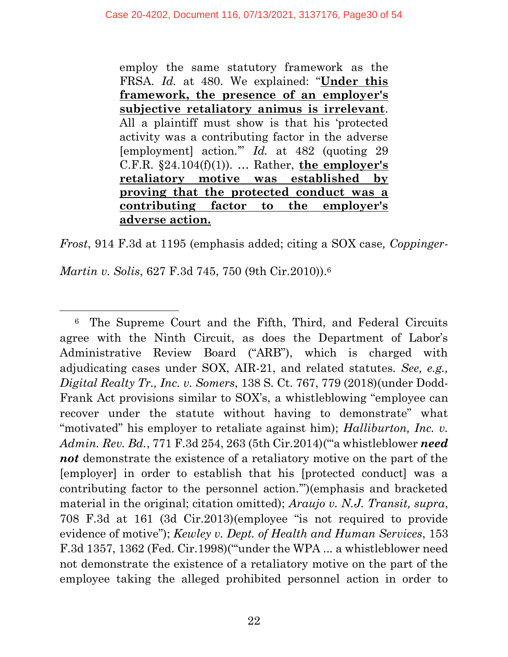employ the same statutory framework as the FRSA. *Id.* at 480. We explained: "**Under this framework, the presence of an employer's subjective retaliatory animus is irrelevant**. All a plaintiff must show is that his 'protected activity was a contributing factor in the adverse [employment] action.'" *Id.* at 482 (quoting 29 C.F.R. §24.104(f)(1)). … Rather, **the employer's retaliatory motive was established by proving that the protected conduct was a contributing factor to the employer's adverse action.**

*Frost*, 914 F.3d at 1195 (emphasis added; citing a SOX case*, Coppinger-*

*Martin v. Solis*, 627 F.3d 745, 750 (9th Cir.2010)). 6

<sup>6</sup> The Supreme Court and the Fifth, Third, and Federal Circuits agree with the Ninth Circuit, as does the Department of Labor's Administrative Review Board ("ARB"), which is charged with adjudicating cases under SOX, AIR-21, and related statutes. *See, e.g., Digital Realty Tr., Inc. v. Somers*, 138 S. Ct. 767, 779 (2018)(under Dodd-Frank Act provisions similar to SOX's, a whistleblowing "employee can recover under the statute without having to demonstrate" what "motivated" his employer to retaliate against him); *Halliburton, Inc. v. Admin. Rev. Bd.*, 771 F.3d 254, 263 (5th Cir.2014)("'a whistleblower *need not* demonstrate the existence of a retaliatory motive on the part of the [employer] in order to establish that his [protected conduct] was a contributing factor to the personnel action.'")(emphasis and bracketed material in the original; citation omitted); *Araujo v. N.J. Transit, supra*, 708 F.3d at 161 (3d Cir.2013)(employee "is not required to provide evidence of motive"); *Kewley v. Dept. of Health and Human Services*, 153 F.3d 1357, 1362 (Fed. Cir.1998)("'under the WPA ... a whistleblower need not demonstrate the existence of a retaliatory motive on the part of the employee taking the alleged prohibited personnel action in order to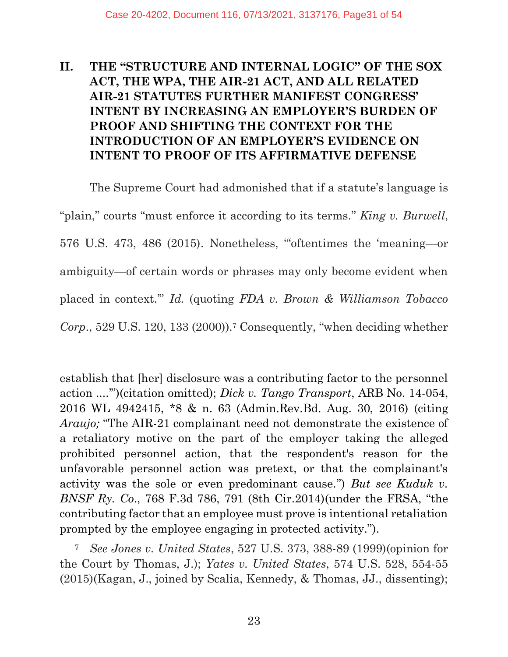## **II. THE "STRUCTURE AND INTERNAL LOGIC" OF THE SOX ACT, THE WPA, THE AIR-21 ACT, AND ALL RELATED AIR-21 STATUTES FURTHER MANIFEST CONGRESS' INTENT BY INCREASING AN EMPLOYER'S BURDEN OF PROOF AND SHIFTING THE CONTEXT FOR THE INTRODUCTION OF AN EMPLOYER'S EVIDENCE ON INTENT TO PROOF OF ITS AFFIRMATIVE DEFENSE**

The Supreme Court had admonished that if a statute's language is "plain," courts "must enforce it according to its terms." *King v. Burwell*, 576 U.S. 473, 486 (2015). Nonetheless, "'oftentimes the 'meaning—or ambiguity—of certain words or phrases may only become evident when placed in context.'" *Id.* (quoting *FDA v. Brown & Williamson Tobacco Corp*., 529 U.S. 120, 133 (2000)).<sup>7</sup> Consequently, "when deciding whether

establish that [her] disclosure was a contributing factor to the personnel action ....'")(citation omitted); *Dick v. Tango Transport*, ARB No. 14-054, 2016 WL 4942415, \*8 & n. 63 (Admin.Rev.Bd. Aug. 30, 2016) (citing *Araujo;* "The AIR-21 complainant need not demonstrate the existence of a retaliatory motive on the part of the employer taking the alleged prohibited personnel action, that the respondent's reason for the unfavorable personnel action was pretext, or that the complainant's activity was the sole or even predominant cause.") *But see Kuduk v. BNSF Ry. Co*., 768 F.3d 786, 791 (8th Cir.2014)(under the FRSA, "the contributing factor that an employee must prove is intentional retaliation prompted by the employee engaging in protected activity.").

<sup>7</sup> *See Jones v. United States*, 527 U.S. 373, 388-89 (1999)(opinion for the Court by Thomas, J.); *Yates v. United States*, 574 U.S. 528, 554-55 (2015)(Kagan, J., joined by Scalia, Kennedy, & Thomas, JJ., dissenting);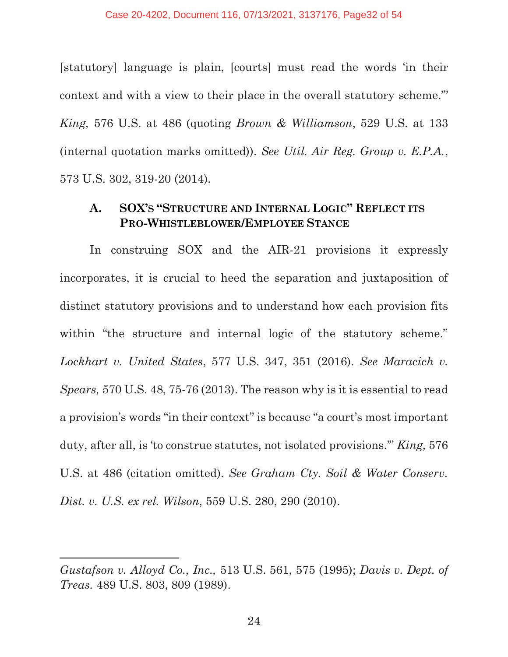[statutory] language is plain, [courts] must read the words 'in their context and with a view to their place in the overall statutory scheme."' *King,* 576 U.S. at 486 (quoting *Brown & Williamson*, 529 U.S. at 133 (internal quotation marks omitted)). *See Util. Air Reg. Group v. E.P.A.*, 573 U.S. 302, 319-20 (2014).

#### **A. SOX'S "STRUCTURE AND INTERNAL LOGIC" REFLECT ITS PRO-WHISTLEBLOWER/EMPLOYEE STANCE**

In construing SOX and the AIR-21 provisions it expressly incorporates, it is crucial to heed the separation and juxtaposition of distinct statutory provisions and to understand how each provision fits within "the structure and internal logic of the statutory scheme." *Lockhart v. United States*, 577 U.S. 347, 351 (2016). *See Maracich v. Spears,* 570 U.S. 48, 75-76 (2013). The reason why is it is essential to read a provision's words "in their context" is because "a court's most important duty, after all, is 'to construe statutes, not isolated provisions.'" *King,* 576 U.S. at 486 (citation omitted). *See Graham Cty. Soil & Water Conserv. Dist. v. U.S. ex rel. Wilson*, 559 U.S. 280, 290 (2010).

*Gustafson v. Alloyd Co., Inc.,* 513 U.S. 561, 575 (1995); *Davis v. Dept. of Treas.* 489 U.S. 803, 809 (1989).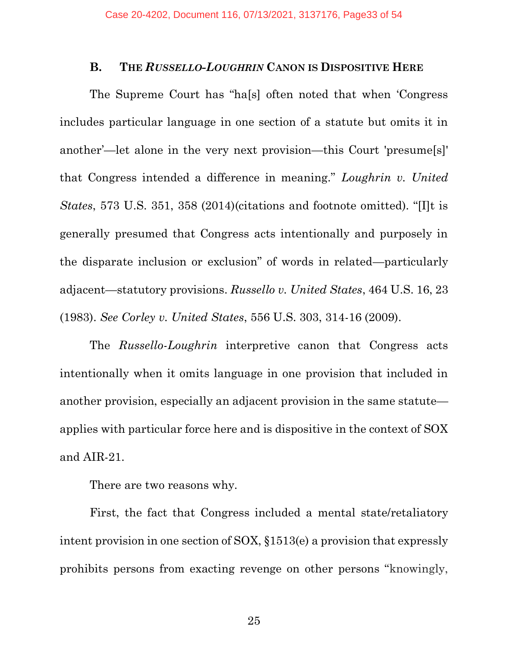#### **B. THE** *RUSSELLO-LOUGHRIN* **CANON IS DISPOSITIVE HERE**

The Supreme Court has "ha[s] often noted that when 'Congress includes particular language in one section of a statute but omits it in another'—let alone in the very next provision—this Court 'presume[s]' that Congress intended a difference in meaning." *Loughrin v. United States*, 573 U.S. 351, 358 (2014)(citations and footnote omitted). "[I]t is generally presumed that Congress acts intentionally and purposely in the disparate inclusion or exclusion" of words in related—particularly adjacent—statutory provisions. *Russello v. United States*, 464 U.S. 16, 23 (1983). *See Corley v. United States*, 556 U.S. 303, 314-16 (2009).

The *Russello-Loughrin* interpretive canon that Congress acts intentionally when it omits language in one provision that included in another provision, especially an adjacent provision in the same statute applies with particular force here and is dispositive in the context of SOX and AIR-21.

There are two reasons why.

First, the fact that Congress included a mental state/retaliatory intent provision in one section of SOX, §1513(e) a provision that expressly prohibits persons from exacting revenge on other persons "knowingly,

25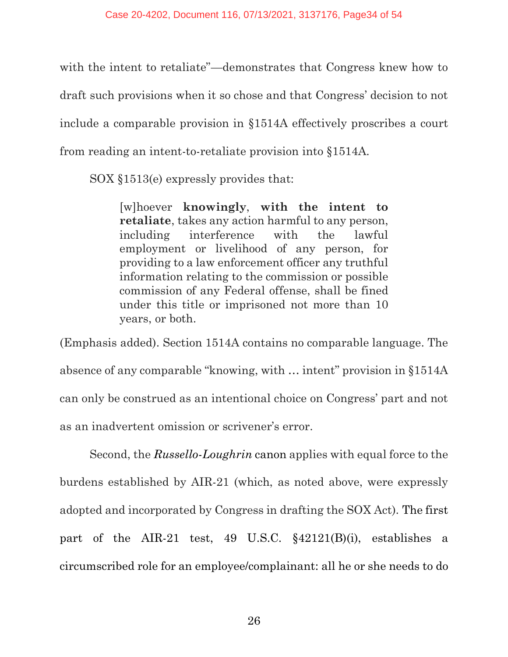with the intent to retaliate"—demonstrates that Congress knew how to draft such provisions when it so chose and that Congress' decision to not include a comparable provision in §1514A effectively proscribes a court from reading an intent-to-retaliate provision into §1514A.

SOX §1513(e) expressly provides that:

[w]hoever **knowingly**, **with the intent to retaliate**, takes any action harmful to any person, including interference with the lawful employment or livelihood of any person, for providing to a law enforcement officer any truthful information relating to the commission or possible commission of any Federal offense, shall be fined under this title or imprisoned not more than 10 years, or both.

(Emphasis added). Section 1514A contains no comparable language. The absence of any comparable "knowing, with … intent" provision in §1514A can only be construed as an intentional choice on Congress' part and not as an inadvertent omission or scrivener's error.

Second, the *Russello-Loughrin* canon applies with equal force to the burdens established by AIR-21 (which, as noted above, were expressly adopted and incorporated by Congress in drafting the SOX Act). The first part of the AIR-21 test, 49 U.S.C. §42121(B)(i), establishes a circumscribed role for an employee/complainant: all he or she needs to do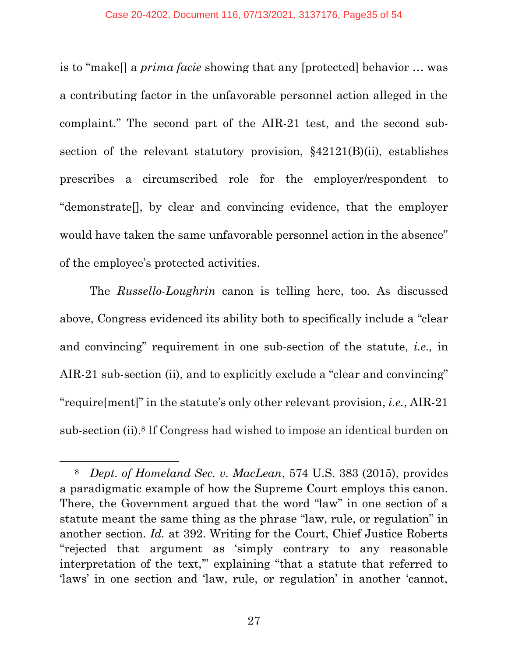is to "make[] a *prima facie* showing that any [protected] behavior … was a contributing factor in the unfavorable personnel action alleged in the complaint." The second part of the AIR-21 test, and the second subsection of the relevant statutory provision, §42121(B)(ii), establishes prescribes a circumscribed role for the employer/respondent to "demonstrate[], by clear and convincing evidence, that the employer would have taken the same unfavorable personnel action in the absence" of the employee's protected activities.

The *Russello-Loughrin* canon is telling here, too. As discussed above, Congress evidenced its ability both to specifically include a "clear and convincing" requirement in one sub-section of the statute, *i.e.,* in AIR-21 sub-section (ii), and to explicitly exclude a "clear and convincing" "require[ment]" in the statute's only other relevant provision, *i.e.*, AIR-21 sub-section (ii). <sup>8</sup> If Congress had wished to impose an identical burden on

<sup>8</sup> *Dept. of Homeland Sec. v. MacLean*, 574 U.S. 383 (2015), provides a paradigmatic example of how the Supreme Court employs this canon. There, the Government argued that the word "law" in one section of a statute meant the same thing as the phrase "law, rule, or regulation" in another section. *Id.* at 392. Writing for the Court, Chief Justice Roberts "rejected that argument as 'simply contrary to any reasonable interpretation of the text,'" explaining "that a statute that referred to 'laws' in one section and 'law, rule, or regulation' in another 'cannot,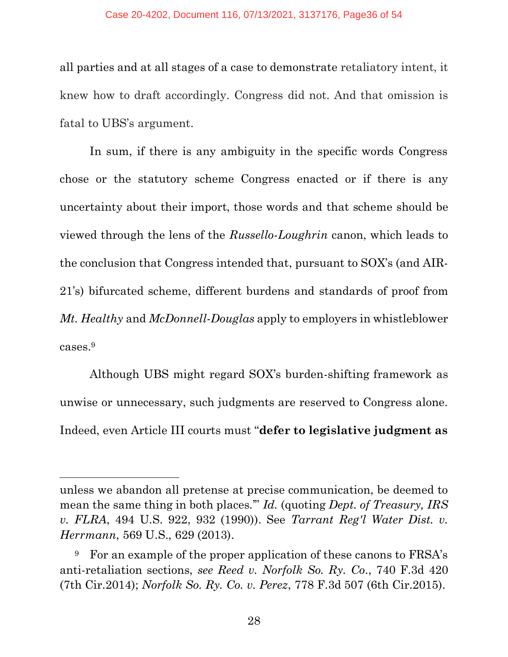#### Case 20-4202, Document 116, 07/13/2021, 3137176, Page36 of 54

all parties and at all stages of a case to demonstrate retaliatory intent, it knew how to draft accordingly. Congress did not. And that omission is fatal to UBS's argument.

In sum, if there is any ambiguity in the specific words Congress chose or the statutory scheme Congress enacted or if there is any uncertainty about their import, those words and that scheme should be viewed through the lens of the *Russello-Loughrin* canon, which leads to the conclusion that Congress intended that, pursuant to SOX's (and AIR-21's) bifurcated scheme, different burdens and standards of proof from *Mt. Healthy* and *McDonnell-Douglas* apply to employers in whistleblower cases.<sup>9</sup>

Although UBS might regard SOX's burden-shifting framework as unwise or unnecessary, such judgments are reserved to Congress alone. Indeed, even Article III courts must "**defer to legislative judgment as** 

unless we abandon all pretense at precise communication, be deemed to mean the same thing in both places.'" *Id.* (quoting *Dept. of Treasury, IRS v. FLRA*, 494 U.S. 922, 932 (1990)). See *Tarrant Reg'l Water Dist. v. Herrmann*, 569 U.S., 629 (2013).

<sup>&</sup>lt;sup>9</sup> For an example of the proper application of these canons to FRSA's anti-retaliation sections, *see Reed v. Norfolk So. Ry. Co*., 740 F.3d 420 (7th Cir.2014); *Norfolk So. Ry. Co. v. Perez*, 778 F.3d 507 (6th Cir.2015).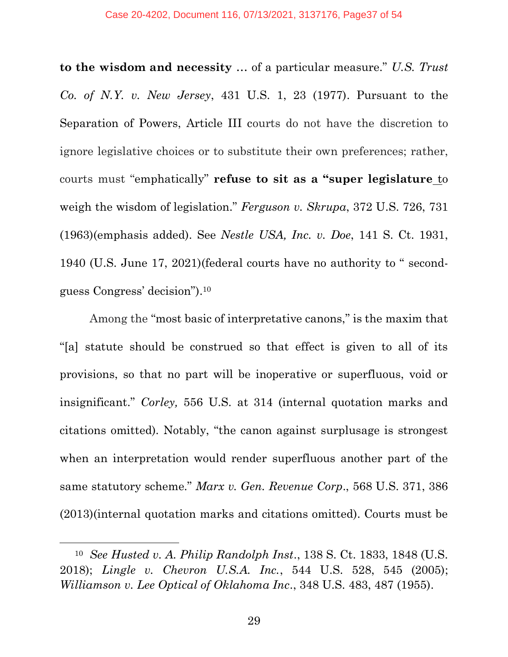**to the wisdom and necessity** … of a particular measure." *U.S. Trust Co. of N.Y. v. New Jersey*, 431 U.S. 1, 23 (1977). Pursuant to the Separation of Powers, Article III courts do not have the discretion to ignore legislative choices or to substitute their own preferences; rather, courts must "emphatically" **refuse to sit as a "super legislature** to weigh the wisdom of legislation." *Ferguson v. Skrupa*, 372 U.S. 726, 731 (1963)(emphasis added). See *Nestle USA, Inc. v. Doe*, 141 S. Ct. 1931, 1940 (U.S. June 17, 2021)(federal courts have no authority to " secondguess Congress' decision"). 10

Among the "most basic of interpretative canons," is the maxim that "[a] statute should be construed so that effect is given to all of its provisions, so that no part will be inoperative or superfluous, void or insignificant." *Corley,* 556 U.S. at 314 (internal quotation marks and citations omitted). Notably, "the canon against surplusage is strongest when an interpretation would render superfluous another part of the same statutory scheme." *Marx v. Gen. Revenue Corp*., 568 U.S. 371, 386 (2013)(internal quotation marks and citations omitted). Courts must be

<sup>10</sup> *See Husted v. A. Philip Randolph Inst*., 138 S. Ct. 1833, 1848 (U.S. 2018); *Lingle v. Chevron U.S.A. Inc.*, 544 U.S. 528, 545 (2005); *Williamson v. Lee Optical of Oklahoma Inc*., 348 U.S. 483, 487 (1955).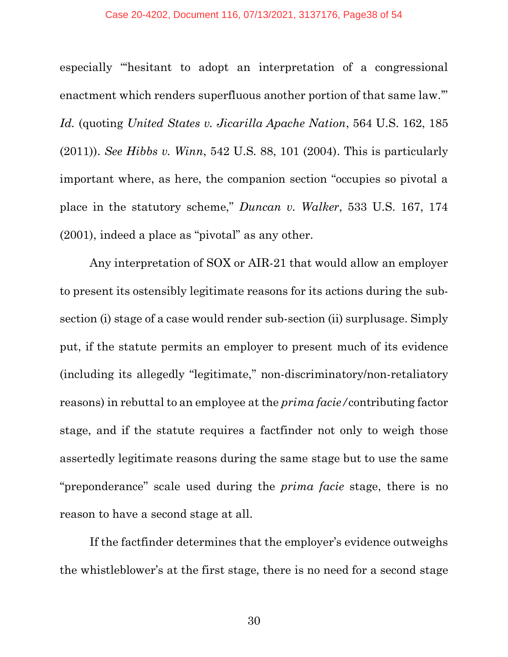#### Case 20-4202, Document 116, 07/13/2021, 3137176, Page38 of 54

especially "'hesitant to adopt an interpretation of a congressional enactment which renders superfluous another portion of that same law.'" *Id.* (quoting *United States v. Jicarilla Apache Nation*, 564 U.S. 162, 185 (2011)). *See Hibbs v. Winn*, 542 U.S. 88, 101 (2004). This is particularly important where, as here, the companion section "occupies so pivotal a place in the statutory scheme," *Duncan v. Walker*, 533 U.S. 167, 174 (2001), indeed a place as "pivotal" as any other.

Any interpretation of SOX or AIR-21 that would allow an employer to present its ostensibly legitimate reasons for its actions during the subsection (i) stage of a case would render sub-section (ii) surplusage. Simply put, if the statute permits an employer to present much of its evidence (including its allegedly "legitimate," non-discriminatory/non-retaliatory reasons) in rebuttal to an employee at the *prima facie/*contributing factor stage, and if the statute requires a factfinder not only to weigh those assertedly legitimate reasons during the same stage but to use the same "preponderance" scale used during the *prima facie* stage, there is no reason to have a second stage at all.

If the factfinder determines that the employer's evidence outweighs the whistleblower's at the first stage, there is no need for a second stage

30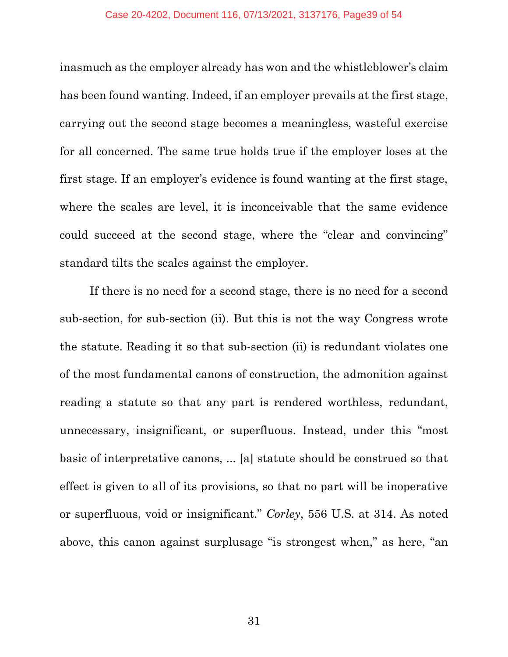inasmuch as the employer already has won and the whistleblower's claim has been found wanting. Indeed, if an employer prevails at the first stage, carrying out the second stage becomes a meaningless, wasteful exercise for all concerned. The same true holds true if the employer loses at the first stage. If an employer's evidence is found wanting at the first stage, where the scales are level, it is inconceivable that the same evidence could succeed at the second stage, where the "clear and convincing" standard tilts the scales against the employer.

If there is no need for a second stage, there is no need for a second sub-section, for sub-section (ii). But this is not the way Congress wrote the statute. Reading it so that sub-section (ii) is redundant violates one of the most fundamental canons of construction, the admonition against reading a statute so that any part is rendered worthless, redundant, unnecessary, insignificant, or superfluous. Instead, under this "most basic of interpretative canons, ... [a] statute should be construed so that effect is given to all of its provisions, so that no part will be inoperative or superfluous, void or insignificant." *Corley*, 556 U.S. at 314. As noted above, this canon against surplusage "is strongest when," as here, "an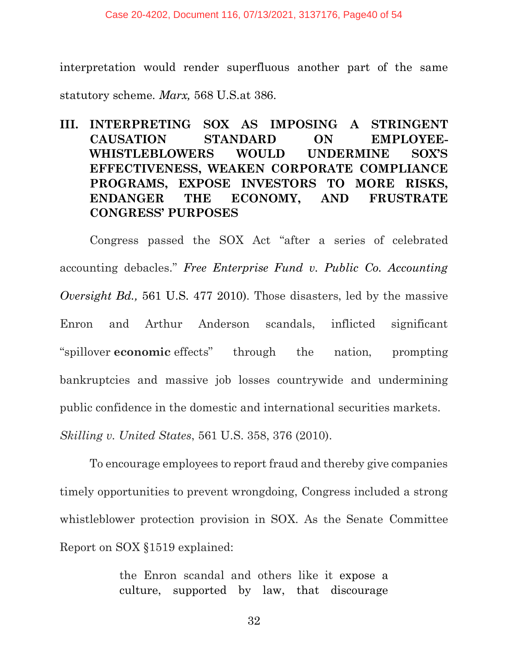interpretation would render superfluous another part of the same statutory scheme. *Marx,* 568 U.S.at 386.

## **III. INTERPRETING SOX AS IMPOSING A STRINGENT CAUSATION STANDARD ON EMPLOYEE-WHISTLEBLOWERS WOULD UNDERMINE SOX'S EFFECTIVENESS, WEAKEN CORPORATE COMPLIANCE PROGRAMS, EXPOSE INVESTORS TO MORE RISKS, ENDANGER THE ECONOMY, AND FRUSTRATE CONGRESS' PURPOSES**

Congress passed the SOX Act "after a series of celebrated accounting debacles." *Free Enterprise Fund v. Public Co. Accounting Oversight Bd.,* 561 U.S. 477 2010). Those disasters, led by the massive Enron and Arthur Anderson scandals, inflicted significant "spillover **economic** effects" through the nation, prompting bankruptcies and massive job losses countrywide and undermining public confidence in the domestic and international securities markets. *Skilling v. United States*, 561 U.S. 358, 376 (2010).

To encourage employees to report fraud and thereby give companies timely opportunities to prevent wrongdoing, Congress included a strong whistleblower protection provision in SOX. As the Senate Committee Report on SOX §1519 explained:

> the Enron scandal and others like it expose a culture, supported by law, that discourage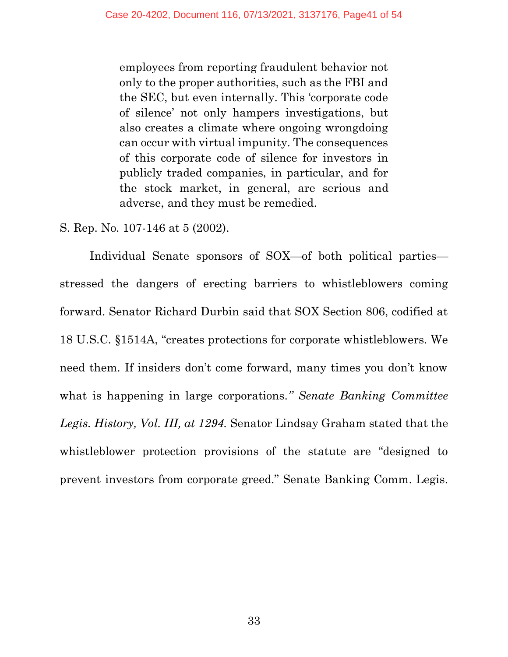employees from reporting fraudulent behavior not only to the proper authorities, such as the FBI and the SEC, but even internally. This 'corporate code of silence' not only hampers investigations, but also creates a climate where ongoing wrongdoing can occur with virtual impunity. The consequences of this corporate code of silence for investors in publicly traded companies, in particular, and for the stock market, in general, are serious and adverse, and they must be remedied.

S. Rep. No. 107-146 at 5 (2002).

Individual Senate sponsors of SOX—of both political parties stressed the dangers of erecting barriers to whistleblowers coming forward. Senator Richard Durbin said that SOX Section 806, codified at 18 U.S.C. §1514A, "creates protections for corporate whistleblowers. We need them. If insiders don't come forward, many times you don't know what is happening in large corporations*." Senate Banking Committee Legis. History, Vol. III, at 1294.* Senator Lindsay Graham stated that the whistleblower protection provisions of the statute are "designed to prevent investors from corporate greed." Senate Banking Comm. Legis.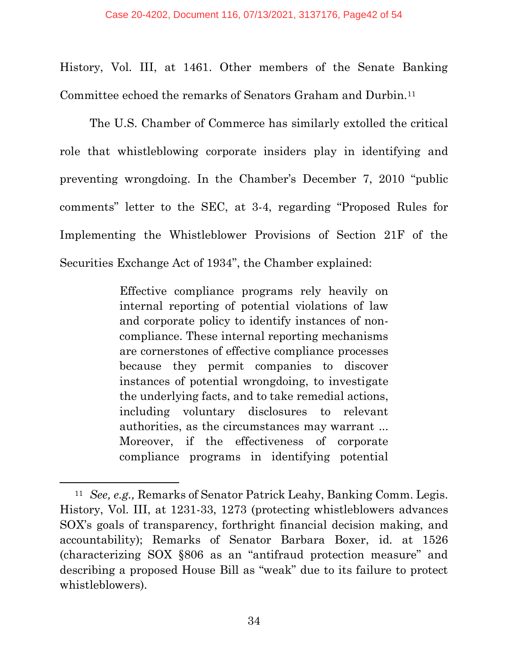History, Vol. III, at 1461. Other members of the Senate Banking Committee echoed the remarks of Senators Graham and Durbin.<sup>11</sup>

The U.S. Chamber of Commerce has similarly extolled the critical role that whistleblowing corporate insiders play in identifying and preventing wrongdoing. In the Chamber's December 7, 2010 "public comments" letter to the SEC, at 3-4, regarding "Proposed Rules for Implementing the Whistleblower Provisions of Section 21F of the Securities Exchange Act of 1934", the Chamber explained:

> Effective compliance programs rely heavily on internal reporting of potential violations of law and corporate policy to identify instances of noncompliance. These internal reporting mechanisms are cornerstones of effective compliance processes because they permit companies to discover instances of potential wrongdoing, to investigate the underlying facts, and to take remedial actions, including voluntary disclosures to relevant authorities, as the circumstances may warrant ... Moreover, if the effectiveness of corporate compliance programs in identifying potential

<sup>11</sup> *See, e.g.,* Remarks of Senator Patrick Leahy, Banking Comm. Legis. History, Vol. III, at 1231-33, 1273 (protecting whistleblowers advances SOX's goals of transparency, forthright financial decision making, and accountability); Remarks of Senator Barbara Boxer, id. at 1526 (characterizing SOX §806 as an "antifraud protection measure" and describing a proposed House Bill as "weak" due to its failure to protect whistleblowers).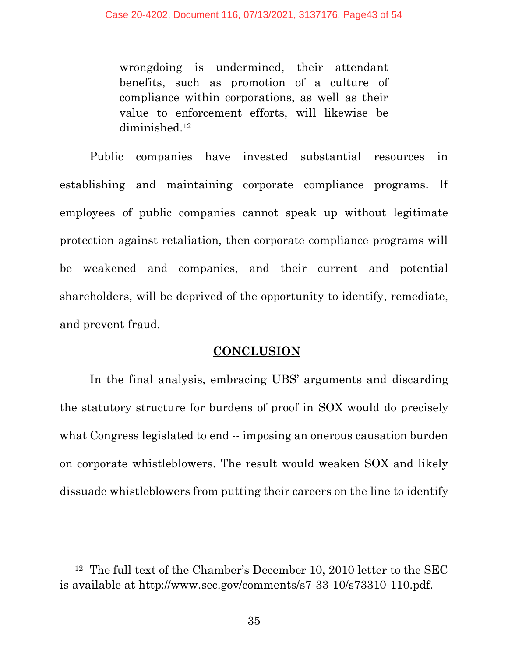wrongdoing is undermined, their attendant benefits, such as promotion of a culture of compliance within corporations, as well as their value to enforcement efforts, will likewise be diminished. 12

Public companies have invested substantial resources in establishing and maintaining corporate compliance programs. If employees of public companies cannot speak up without legitimate protection against retaliation, then corporate compliance programs will be weakened and companies, and their current and potential shareholders, will be deprived of the opportunity to identify, remediate, and prevent fraud.

#### **CONCLUSION**

In the final analysis, embracing UBS' arguments and discarding the statutory structure for burdens of proof in SOX would do precisely what Congress legislated to end -- imposing an onerous causation burden on corporate whistleblowers. The result would weaken SOX and likely dissuade whistleblowers from putting their careers on the line to identify

<sup>&</sup>lt;sup>12</sup> The full text of the Chamber's December 10, 2010 letter to the SEC is available at http://www.sec.gov/comments/s7-33-10/s73310-110.pdf.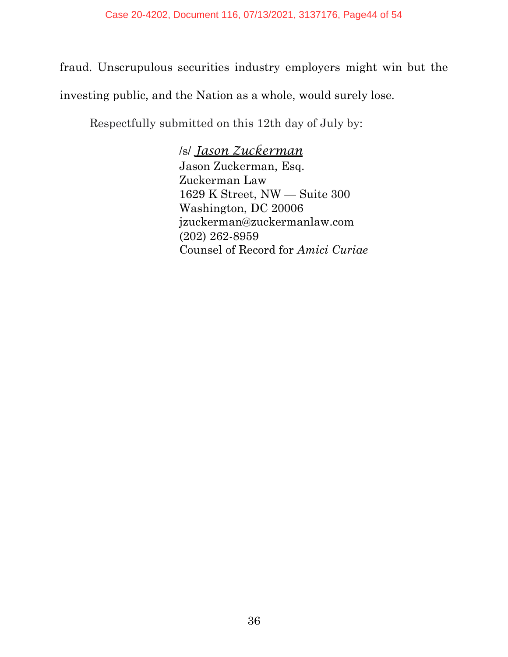fraud. Unscrupulous securities industry employers might win but the investing public, and the Nation as a whole, would surely lose.

Respectfully submitted on this 12th day of July by:

/s/ *Jason Zuckerman* Jason Zuckerman, Esq. Zuckerman Law 1629 K Street, NW — Suite 300 Washington, DC 20006 jzuckerman@zuckermanlaw.com (202) 262-8959 Counsel of Record for *Amici Curiae*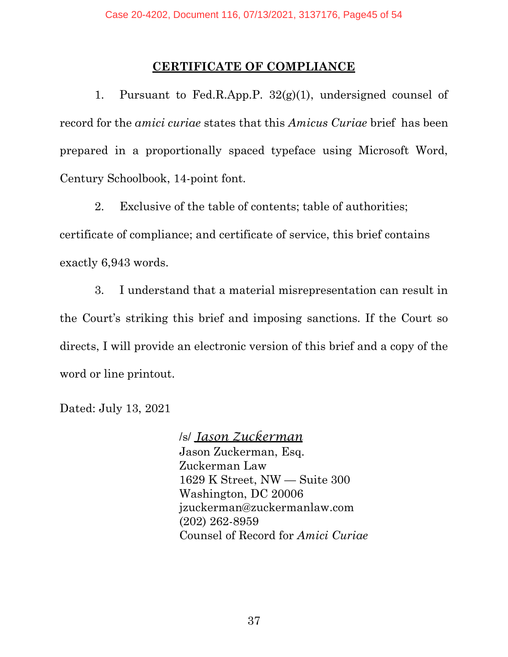#### **CERTIFICATE OF COMPLIANCE**

1. Pursuant to Fed.R.App.P. 32(g)(1), undersigned counsel of record for the *amici curiae* states that this *Amicus Curiae* brief has been prepared in a proportionally spaced typeface using Microsoft Word, Century Schoolbook, 14-point font.

2. Exclusive of the table of contents; table of authorities; certificate of compliance; and certificate of service, this brief contains exactly 6,943 words.

3. I understand that a material misrepresentation can result in the Court's striking this brief and imposing sanctions. If the Court so directs, I will provide an electronic version of this brief and a copy of the word or line printout.

Dated: July 13, 2021

/s/ *Jason Zuckerman* Jason Zuckerman, Esq. Zuckerman Law 1629 K Street, NW — Suite 300 Washington, DC 20006 jzuckerman@zuckermanlaw.com (202) 262-8959 Counsel of Record for *Amici Curiae*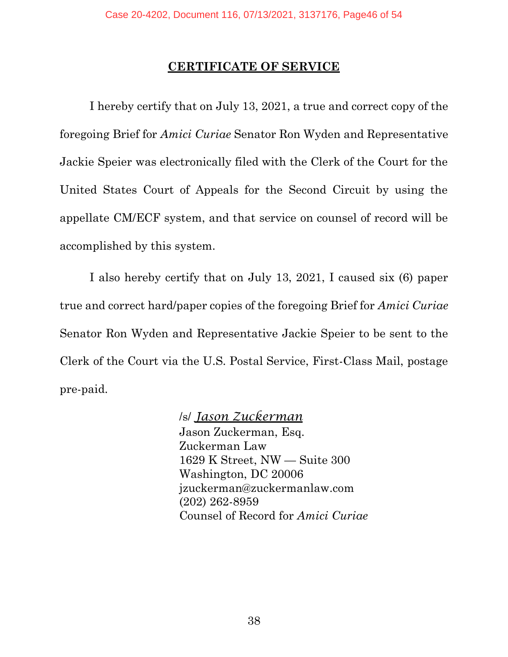#### **CERTIFICATE OF SERVICE**

I hereby certify that on July 13, 2021, a true and correct copy of the foregoing Brief for *Amici Curiae* Senator Ron Wyden and Representative Jackie Speier was electronically filed with the Clerk of the Court for the United States Court of Appeals for the Second Circuit by using the appellate CM/ECF system, and that service on counsel of record will be accomplished by this system.

I also hereby certify that on July 13, 2021, I caused six (6) paper true and correct hard/paper copies of the foregoing Brief for *Amici Curiae*  Senator Ron Wyden and Representative Jackie Speier to be sent to the Clerk of the Court via the U.S. Postal Service, First-Class Mail, postage pre-paid.

> /s/ *Jason Zuckerman* Jason Zuckerman, Esq. Zuckerman Law 1629 K Street, NW — Suite 300 Washington, DC 20006 jzuckerman@zuckermanlaw.com (202) 262-8959 Counsel of Record for *Amici Curiae*

> > 38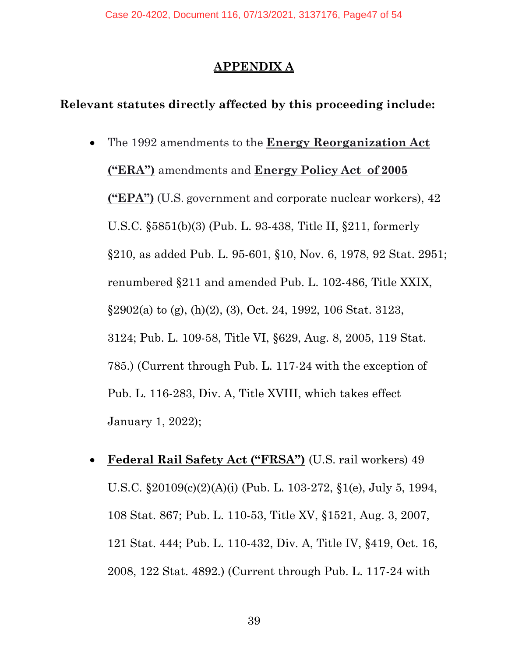#### **APPENDIX A**

#### **Relevant statutes directly affected by this proceeding include:**

- The 1992 amendments to the **Energy Reorganization Act ("ERA")** amendments and **Energy Policy Act of 2005 ("EPA")** (U.S. government and corporate nuclear workers), 42 U.S.C. §5851(b)(3) (Pub. L. 93-438, Title II, §211, formerly §210, as added Pub. L. 95-601, §10, Nov. 6, 1978, 92 Stat. 2951; renumbered §211 and amended Pub. L. 102-486, Title XXIX,  $\S 2902(a)$  to (g), (h)(2), (3), Oct. 24, 1992, 106 Stat. 3123, 3124; Pub. L. 109-58, Title VI, §629, Aug. 8, 2005, 119 Stat. 785.) (Current through Pub. L. 117-24 with the exception of Pub. L. 116-283, Div. A, Title XVIII, which takes effect January 1, 2022);
- **Federal Rail Safety Act ("FRSA")** (U.S. rail workers) 49 U.S.C. §20109(c)(2)(A)(i) (Pub. L. 103-272, §1(e), July 5, 1994, 108 Stat. 867; Pub. L. 110-53, Title XV, §1521, Aug. 3, 2007, 121 Stat. 444; Pub. L. 110-432, Div. A, Title IV, §419, Oct. 16, 2008, 122 Stat. 4892.) (Current through Pub. L. 117-24 with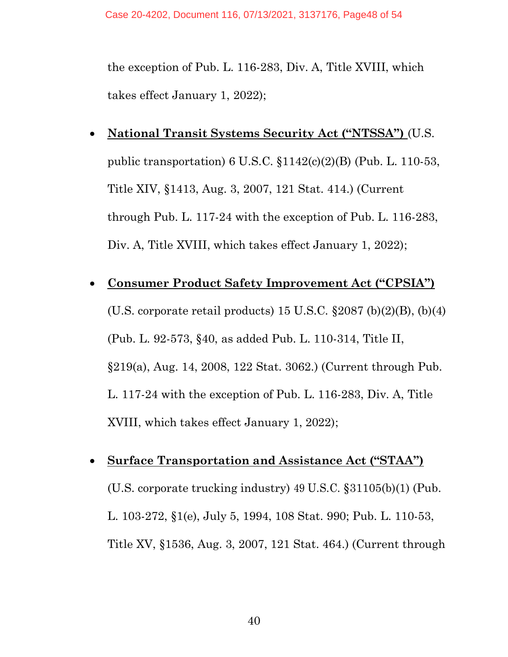the exception of Pub. L. 116-283, Div. A, Title XVIII, which takes effect January 1, 2022);

- **National Transit Systems Security Act ("NTSSA")** (U.S. public transportation) 6 U.S.C. §1142(c)(2)(B) (Pub. L. 110-53, Title XIV, §1413, Aug. 3, 2007, 121 Stat. 414.) (Current through Pub. L. 117-24 with the exception of Pub. L. 116-283, Div. A, Title XVIII, which takes effect January 1, 2022);
- **Consumer Product Safety Improvement Act ("CPSIA")** (U.S. corporate retail products) 15 U.S.C.  $\S 2087$  (b)(2)(B), (b)(4) (Pub. L. 92-573, §40, as added Pub. L. 110-314, Title II, §219(a), Aug. 14, 2008, 122 Stat. 3062.) (Current through Pub. L. 117-24 with the exception of Pub. L. 116-283, Div. A, Title XVIII, which takes effect January 1, 2022);
- **Surface Transportation and Assistance Act ("STAA")** (U.S. corporate trucking industry) 49 U.S.C. §31105(b)(1) (Pub. L. 103-272, §1(e), July 5, 1994, 108 Stat. 990; Pub. L. 110-53, Title XV, §1536, Aug. 3, 2007, 121 Stat. 464.) (Current through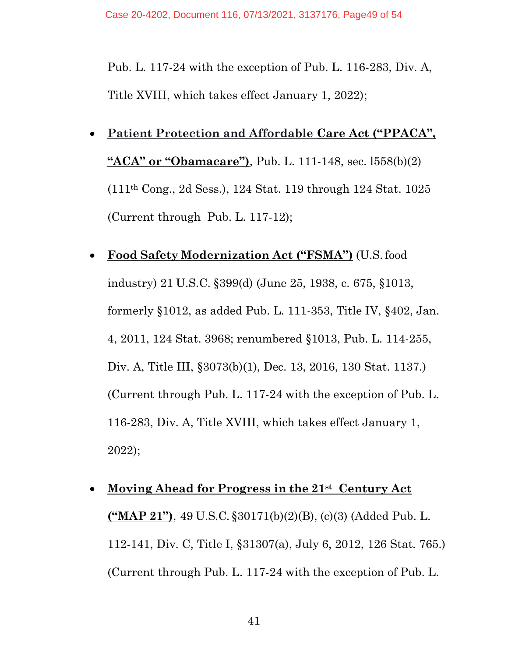Pub. L. 117-24 with the exception of Pub. L. 116-283, Div. A, Title XVIII, which takes effect January 1, 2022);

- **Patient Protection and Affordable Care Act ("PPACA", "ACA" or "Obamacare")**, Pub. L. 111-148, sec. l558(b)(2) (111th Cong., 2d Sess.), 124 Stat. 119 through 124 Stat. 1025 (Current through Pub. L. 117-12);
- **Food Safety Modernization Act ("FSMA")** (U.S. food industry) 21 U.S.C. §399(d) (June 25, 1938, c. 675, §1013, formerly §1012, as added Pub. L. 111-353, Title IV, §402, Jan. 4, 2011, 124 Stat. 3968; renumbered §1013, Pub. L. 114-255, Div. A, Title III, §3073(b)(1), Dec. 13, 2016, 130 Stat. 1137.) (Current through Pub. L. 117-24 with the exception of Pub. L. 116-283, Div. A, Title XVIII, which takes effect January 1, 2022);
- **Moving Ahead for Progress in the 21st Century Act ("MAP 21")**, 49 U.S.C. §30171(b)(2)(B), (c)(3) (Added Pub. L. 112-141, Div. C, Title I, §31307(a), July 6, 2012, 126 Stat. 765.) (Current through Pub. L. 117-24 with the exception of Pub. L.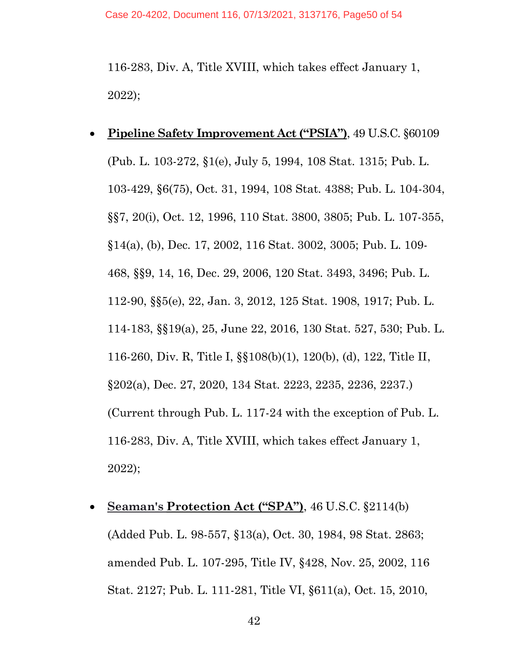116-283, Div. A, Title XVIII, which takes effect January 1, 2022);

- **Pipeline Safety Improvement Act ("PSIA")**, 49 U.S.C. §60109 (Pub. L. 103-272, §1(e), July 5, 1994, 108 Stat. 1315; Pub. L. 103-429, §6(75), Oct. 31, 1994, 108 Stat. 4388; Pub. L. 104-304, §§7, 20(i), Oct. 12, 1996, 110 Stat. 3800, 3805; Pub. L. 107-355, §14(a), (b), Dec. 17, 2002, 116 Stat. 3002, 3005; Pub. L. 109- 468, §§9, 14, 16, Dec. 29, 2006, 120 Stat. 3493, 3496; Pub. L. 112-90, §§5(e), 22, Jan. 3, 2012, 125 Stat. 1908, 1917; Pub. L. 114-183, §§19(a), 25, June 22, 2016, 130 Stat. 527, 530; Pub. L. 116-260, Div. R, Title I, §§108(b)(1), 120(b), (d), 122, Title II, §202(a), Dec. 27, 2020, 134 Stat. 2223, 2235, 2236, 2237.) (Current through Pub. L. 117-24 with the exception of Pub. L. 116-283, Div. A, Title XVIII, which takes effect January 1, 2022);
- **Seaman's Protection Act ("SPA")**, 46 U.S.C. §2114(b) (Added Pub. L. 98-557, §13(a), Oct. 30, 1984, 98 Stat. 2863; amended Pub. L. 107-295, Title IV, §428, Nov. 25, 2002, 116 Stat. 2127; Pub. L. 111-281, Title VI, §611(a), Oct. 15, 2010,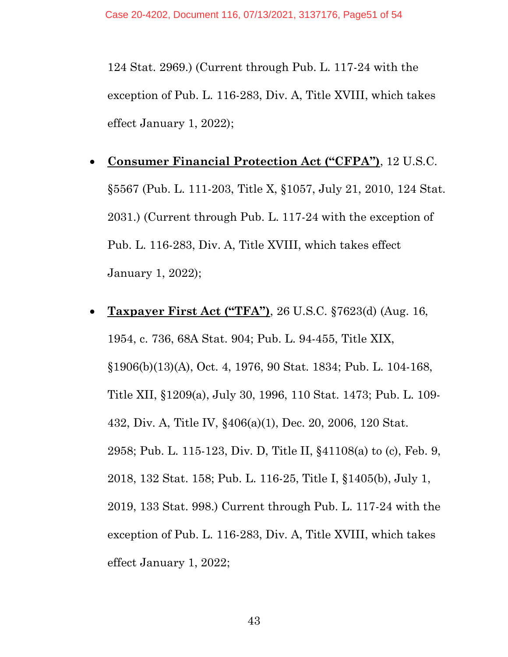124 Stat. 2969.) (Current through Pub. L. 117-24 with the exception of Pub. L. 116-283, Div. A, Title XVIII, which takes effect January 1, 2022);

- **Consumer Financial Protection Act ("CFPA")**, 12 U.S.C. §5567 (Pub. L. 111-203, Title X, §1057, July 21, 2010, 124 Stat. 2031.) (Current through Pub. L. 117-24 with the exception of Pub. L. 116-283, Div. A, Title XVIII, which takes effect January 1, 2022);
- **Taxpayer First Act ("TFA")**, 26 U.S.C. §7623(d) (Aug. 16, 1954, c. 736, 68A Stat. 904; Pub. L. 94-455, Title XIX, §1906(b)(13)(A), Oct. 4, 1976, 90 Stat. 1834; Pub. L. 104-168, Title XII, §1209(a), July 30, 1996, 110 Stat. 1473; Pub. L. 109- 432, Div. A, Title IV, §406(a)(1), Dec. 20, 2006, 120 Stat. 2958; Pub. L. 115-123, Div. D, Title II, §41108(a) to (c), Feb. 9, 2018, 132 Stat. 158; Pub. L. 116-25, Title I, §1405(b), July 1, 2019, 133 Stat. 998.) Current through Pub. L. 117-24 with the exception of Pub. L. 116-283, Div. A, Title XVIII, which takes effect January 1, 2022;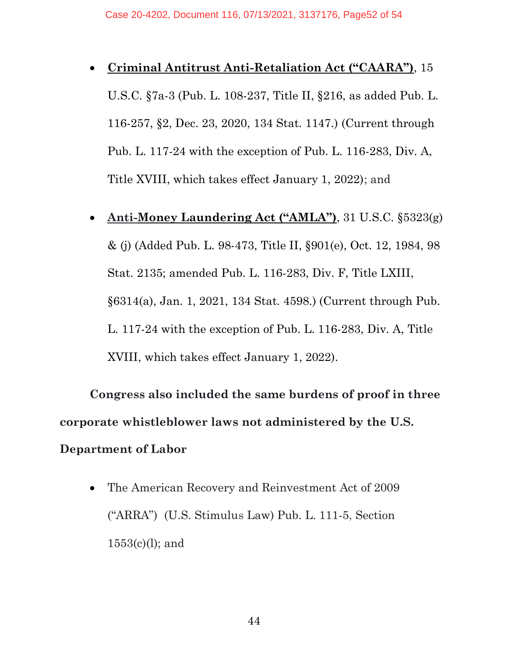- **Criminal Antitrust Anti-Retaliation Act ("CAARA")**, 15 U.S.C. §7a-3 (Pub. L. 108-237, Title II, §216, as added Pub. L. 116-257, §2, Dec. 23, 2020, 134 Stat. 1147.) (Current through Pub. L. 117-24 with the exception of Pub. L. 116-283, Div. A, Title XVIII, which takes effect January 1, 2022); and
- **Anti-Money Laundering Act ("AMLA")**, 31 U.S.C. §5323(g) & (j) (Added Pub. L. 98-473, Title II, §901(e), Oct. 12, 1984, 98 Stat. 2135; amended Pub. L. 116-283, Div. F, Title LXIII, §6314(a), Jan. 1, 2021, 134 Stat. 4598.) (Current through Pub. L. 117-24 with the exception of Pub. L. 116-283, Div. A, Title XVIII, which takes effect January 1, 2022).

**Congress also included the same burdens of proof in three corporate whistleblower laws not administered by the U.S. Department of Labor**

• The American Recovery and Reinvestment Act of 2009 ("ARRA") (U.S. Stimulus Law) Pub. L. 111-5, Section 1553(c)(l); and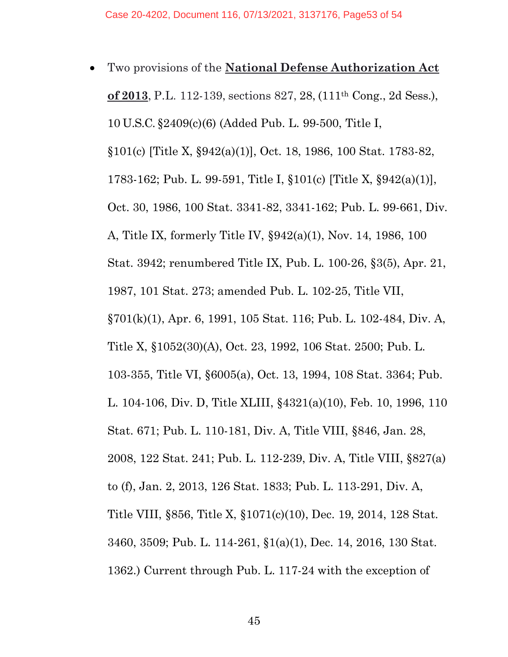• Two provisions of the **National Defense Authorization Act of 2013**, P.L. 112-139, sections 827, 28, (111th Cong., 2d Sess.), 10 U.S.C. §2409(c)(6) (Added Pub. L. 99-500, Title I, §101(c) [Title X, §942(a)(1)], Oct. 18, 1986, 100 Stat. 1783-82, 1783-162; Pub. L. 99-591, Title I, §101(c) [Title X, §942(a)(1)], Oct. 30, 1986, 100 Stat. 3341-82, 3341-162; Pub. L. 99-661, Div. A, Title IX, formerly Title IV, §942(a)(1), Nov. 14, 1986, 100 Stat. 3942; renumbered Title IX, Pub. L. 100-26, §3(5), Apr. 21, 1987, 101 Stat. 273; amended Pub. L. 102-25, Title VII, §701(k)(1), Apr. 6, 1991, 105 Stat. 116; Pub. L. 102-484, Div. A, Title X, §1052(30)(A), Oct. 23, 1992, 106 Stat. 2500; Pub. L. 103-355, Title VI, §6005(a), Oct. 13, 1994, 108 Stat. 3364; Pub. L. 104-106, Div. D, Title XLIII, §4321(a)(10), Feb. 10, 1996, 110 Stat. 671; Pub. L. 110-181, Div. A, Title VIII, §846, Jan. 28, 2008, 122 Stat. 241; Pub. L. 112-239, Div. A, Title VIII, §827(a) to (f), Jan. 2, 2013, 126 Stat. 1833; Pub. L. 113-291, Div. A, Title VIII, §856, Title X, §1071(c)(10), Dec. 19, 2014, 128 Stat. 3460, 3509; Pub. L. 114-261, §1(a)(1), Dec. 14, 2016, 130 Stat. 1362.) Current through Pub. L. 117-24 with the exception of